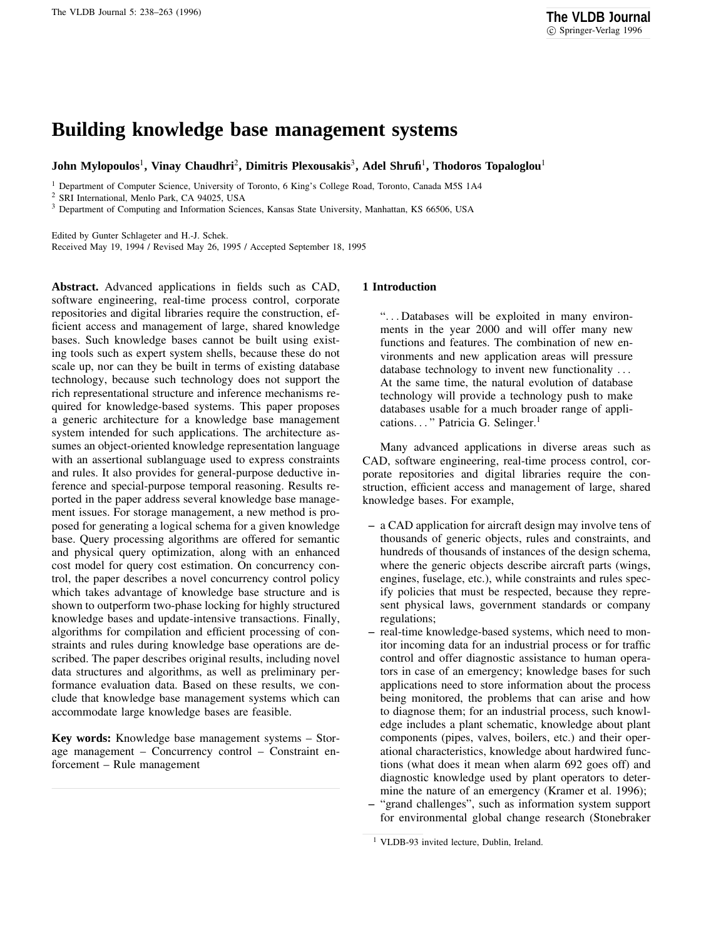# **Building knowledge base management systems**

**John Mylopoulos**<sup>1</sup>**, Vinay Chaudhri**<sup>2</sup>**, Dimitris Plexousakis**<sup>3</sup>**, Adel Shrufi**<sup>1</sup>**, Thodoros Topaloglou**<sup>1</sup>

<sup>1</sup> Department of Computer Science, University of Toronto, 6 King's College Road, Toronto, Canada M5S 1A4

<sup>2</sup> SRI International, Menlo Park, CA 94025, USA

<sup>3</sup> Department of Computing and Information Sciences, Kansas State University, Manhattan, KS 66506, USA

Edited by Gunter Schlageter and H.-J. Schek.

Received May 19, 1994 / Revised May 26, 1995 / Accepted September 18, 1995

**Abstract.** Advanced applications in fields such as CAD, software engineering, real-time process control, corporate repositories and digital libraries require the construction, efficient access and management of large, shared knowledge bases. Such knowledge bases cannot be built using existing tools such as expert system shells, because these do not scale up, nor can they be built in terms of existing database technology, because such technology does not support the rich representational structure and inference mechanisms required for knowledge-based systems. This paper proposes a generic architecture for a knowledge base management system intended for such applications. The architecture assumes an object-oriented knowledge representation language with an assertional sublanguage used to express constraints and rules. It also provides for general-purpose deductive inference and special-purpose temporal reasoning. Results reported in the paper address several knowledge base management issues. For storage management, a new method is proposed for generating a logical schema for a given knowledge base. Query processing algorithms are offered for semantic and physical query optimization, along with an enhanced cost model for query cost estimation. On concurrency control, the paper describes a novel concurrency control policy which takes advantage of knowledge base structure and is shown to outperform two-phase locking for highly structured knowledge bases and update-intensive transactions. Finally, algorithms for compilation and efficient processing of constraints and rules during knowledge base operations are described. The paper describes original results, including novel data structures and algorithms, as well as preliminary performance evaluation data. Based on these results, we conclude that knowledge base management systems which can accommodate large knowledge bases are feasible.

**Key words:** Knowledge base management systems – Storage management – Concurrency control – Constraint enforcement – Rule management

# **1 Introduction**

"*...* Databases will be exploited in many environments in the year 2000 and will offer many new functions and features. The combination of new environments and new application areas will pressure database technology to invent new functionality *...* At the same time, the natural evolution of database technology will provide a technology push to make databases usable for a much broader range of applications..." Patricia G. Selinger.<sup>1</sup>

Many advanced applications in diverse areas such as CAD, software engineering, real-time process control, corporate repositories and digital libraries require the construction, efficient access and management of large, shared knowledge bases. For example,

- **–** a CAD application for aircraft design may involve tens of thousands of generic objects, rules and constraints, and hundreds of thousands of instances of the design schema, where the generic objects describe aircraft parts (wings, engines, fuselage, etc.), while constraints and rules specify policies that must be respected, because they represent physical laws, government standards or company regulations;
- **–** real-time knowledge-based systems, which need to monitor incoming data for an industrial process or for traffic control and offer diagnostic assistance to human operators in case of an emergency; knowledge bases for such applications need to store information about the process being monitored, the problems that can arise and how to diagnose them; for an industrial process, such knowledge includes a plant schematic, knowledge about plant components (pipes, valves, boilers, etc.) and their operational characteristics, knowledge about hardwired functions (what does it mean when alarm 692 goes off) and diagnostic knowledge used by plant operators to determine the nature of an emergency (Kramer et al. 1996);
- **–** "grand challenges", such as information system support for environmental global change research (Stonebraker

<sup>&</sup>lt;sup>1</sup> VLDB-93 invited lecture, Dublin, Ireland.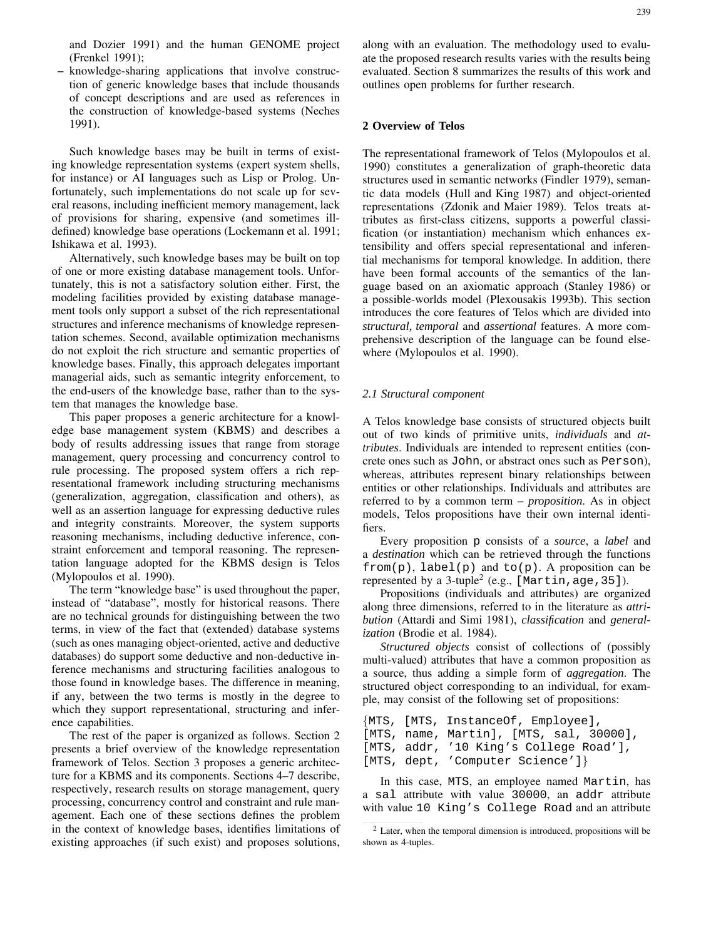and Dozier 1991) and the human GENOME project (Frenkel 1991);

**–** knowledge-sharing applications that involve construction of generic knowledge bases that include thousands of concept descriptions and are used as references in the construction of knowledge-based systems (Neches 1991).

Such knowledge bases may be built in terms of existing knowledge representation systems (expert system shells, for instance) or AI languages such as Lisp or Prolog. Unfortunately, such implementations do not scale up for several reasons, including inefficient memory management, lack of provisions for sharing, expensive (and sometimes illdefined) knowledge base operations (Lockemann et al. 1991; Ishikawa et al. 1993).

Alternatively, such knowledge bases may be built on top of one or more existing database management tools. Unfortunately, this is not a satisfactory solution either. First, the modeling facilities provided by existing database management tools only support a subset of the rich representational structures and inference mechanisms of knowledge representation schemes. Second, available optimization mechanisms do not exploit the rich structure and semantic properties of knowledge bases. Finally, this approach delegates important managerial aids, such as semantic integrity enforcement, to the end-users of the knowledge base, rather than to the system that manages the knowledge base.

This paper proposes a generic architecture for a knowledge base management system (KBMS) and describes a body of results addressing issues that range from storage management, query processing and concurrency control to rule processing. The proposed system offers a rich representational framework including structuring mechanisms (generalization, aggregation, classification and others), as well as an assertion language for expressing deductive rules and integrity constraints. Moreover, the system supports reasoning mechanisms, including deductive inference, constraint enforcement and temporal reasoning. The representation language adopted for the KBMS design is Telos (Mylopoulos et al. 1990).

The term "knowledge base" is used throughout the paper, instead of "database", mostly for historical reasons. There are no technical grounds for distinguishing between the two terms, in view of the fact that (extended) database systems (such as ones managing object-oriented, active and deductive databases) do support some deductive and non-deductive inference mechanisms and structuring facilities analogous to those found in knowledge bases. The difference in meaning, if any, between the two terms is mostly in the degree to which they support representational, structuring and inference capabilities.

The rest of the paper is organized as follows. Section 2 presents a brief overview of the knowledge representation framework of Telos. Section 3 proposes a generic architecture for a KBMS and its components. Sections 4–7 describe, respectively, research results on storage management, query processing, concurrency control and constraint and rule management. Each one of these sections defines the problem in the context of knowledge bases, identifies limitations of existing approaches (if such exist) and proposes solutions, along with an evaluation. The methodology used to evaluate the proposed research results varies with the results being evaluated. Section 8 summarizes the results of this work and outlines open problems for further research.

## **2 Overview of Telos**

The representational framework of Telos (Mylopoulos et al. 1990) constitutes a generalization of graph-theoretic data structures used in semantic networks (Findler 1979), semantic data models (Hull and King 1987) and object-oriented representations (Zdonik and Maier 1989). Telos treats attributes as first-class citizens, supports a powerful classification (or instantiation) mechanism which enhances extensibility and offers special representational and inferential mechanisms for temporal knowledge. In addition, there have been formal accounts of the semantics of the language based on an axiomatic approach (Stanley 1986) or a possible-worlds model (Plexousakis 1993b). This section introduces the core features of Telos which are divided into *structural, temporal* and *assertional* features. A more comprehensive description of the language can be found elsewhere (Mylopoulos et al. 1990).

## *2.1 Structural component*

A Telos knowledge base consists of structured objects built out of two kinds of primitive units, *individuals* and *attributes*. Individuals are intended to represent entities (concrete ones such as John, or abstract ones such as Person), whereas, attributes represent binary relationships between entities or other relationships. Individuals and attributes are referred to by a common term – *proposition*. As in object models, Telos propositions have their own internal identifiers.

Every proposition p consists of a *source*, a *label* and a *destination* which can be retrieved through the functions  $from(p)$ , label(p) and  $to(p)$ . A proposition can be represented by a 3-tuple<sup>2</sup> (e.g., [Martin, age, 35]).

Propositions (individuals and attributes) are organized along three dimensions, referred to in the literature as *attribution* (Attardi and Simi 1981), *classification* and *generalization* (Brodie et al. 1984).

*Structured objects* consist of collections of (possibly multi-valued) attributes that have a common proposition as a source, thus adding a simple form of *aggregation*. The structured object corresponding to an individual, for example, may consist of the following set of propositions:

*{*MTS, [MTS, InstanceOf, Employee], [MTS, name, Martin], [MTS, sal, 30000], [MTS, addr, '10 King's College Road'], [MTS, dept, 'Computer Science']*}*

In this case, MTS, an employee named Martin, has a sal attribute with value 30000, an addr attribute with value 10 King's College Road and an attribute

<sup>2</sup> Later, when the temporal dimension is introduced, propositions will be shown as 4-tuples.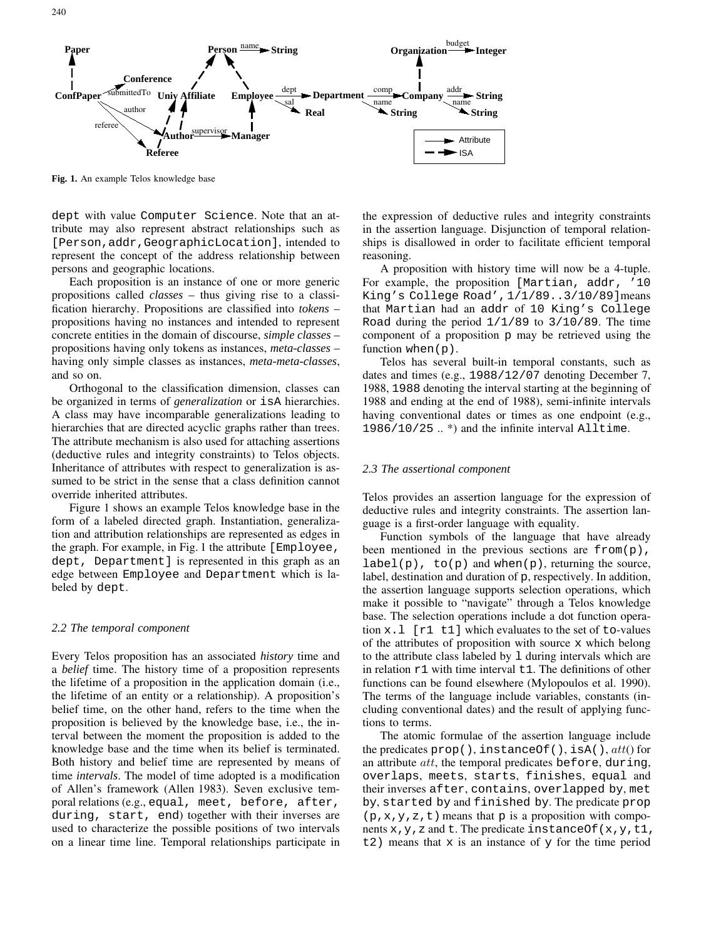

**Fig. 1.** An example Telos knowledge base

dept with value Computer Science. Note that an attribute may also represent abstract relationships such as [Person,addr,GeographicLocation], intended to represent the concept of the address relationship between persons and geographic locations.

Each proposition is an instance of one or more generic propositions called *classes* – thus giving rise to a classification hierarchy. Propositions are classified into *tokens* – propositions having no instances and intended to represent concrete entities in the domain of discourse, *simple classes* – propositions having only tokens as instances, *meta-classes* – having only simple classes as instances, *meta-meta-classes*, and so on.

Orthogonal to the classification dimension, classes can be organized in terms of *generalization* or isA hierarchies. A class may have incomparable generalizations leading to hierarchies that are directed acyclic graphs rather than trees. The attribute mechanism is also used for attaching assertions (deductive rules and integrity constraints) to Telos objects. Inheritance of attributes with respect to generalization is assumed to be strict in the sense that a class definition cannot override inherited attributes.

Figure 1 shows an example Telos knowledge base in the form of a labeled directed graph. Instantiation, generalization and attribution relationships are represented as edges in the graph. For example, in Fig. 1 the attribute [Employee, dept, Department] is represented in this graph as an edge between Employee and Department which is labeled by dept.

### *2.2 The temporal component*

Every Telos proposition has an associated *history* time and a *belief* time. The history time of a proposition represents the lifetime of a proposition in the application domain (i.e., the lifetime of an entity or a relationship). A proposition's belief time, on the other hand, refers to the time when the proposition is believed by the knowledge base, i.e., the interval between the moment the proposition is added to the knowledge base and the time when its belief is terminated. Both history and belief time are represented by means of time *intervals*. The model of time adopted is a modification of Allen's framework (Allen 1983). Seven exclusive temporal relations (e.g., equal, meet, before, after, during, start, end) together with their inverses are used to characterize the possible positions of two intervals on a linear time line. Temporal relationships participate in

the expression of deductive rules and integrity constraints in the assertion language. Disjunction of temporal relationships is disallowed in order to facilitate efficient temporal reasoning.

A proposition with history time will now be a 4-tuple. For example, the proposition [Martian, addr, '10 King's College Road', 1/1/89..3/10/89]means that Martian had an addr of 10 King's College Road during the period  $1/1/89$  to  $3/10/89$ . The time component of a proposition p may be retrieved using the function when(p).

Telos has several built-in temporal constants, such as dates and times (e.g., 1988/12/07 denoting December 7, 1988, 1988 denoting the interval starting at the beginning of 1988 and ending at the end of 1988), semi-infinite intervals having conventional dates or times as one endpoint (e.g., 1986/10/25 .. \*) and the infinite interval Alltime.

# *2.3 The assertional component*

Telos provides an assertion language for the expression of deductive rules and integrity constraints. The assertion language is a first-order language with equality.

Function symbols of the language that have already been mentioned in the previous sections are  $from (p)$ ,  $label(p)$ , to(p) and when(p), returning the source, label, destination and duration of p, respectively. In addition, the assertion language supports selection operations, which make it possible to "navigate" through a Telos knowledge base. The selection operations include a dot function operation  $x \cdot 1$  [ $r1 \text{ t1}$ ] which evaluates to the set of to-values of the attributes of proposition with source x which belong to the attribute class labeled by l during intervals which are in relation  $r1$  with time interval  $t1$ . The definitions of other functions can be found elsewhere (Mylopoulos et al. 1990). The terms of the language include variables, constants (including conventional dates) and the result of applying functions to terms.

The atomic formulae of the assertion language include the predicates prop(), instanceOf(), isA(), *att*() for an attribute *att*, the temporal predicates before, during, overlaps, meets, starts, finishes, equal and their inverses after, contains, overlapped by, met by, started by and finished by. The predicate prop  $(p, x, y, z, t)$  means that p is a proposition with components  $x, y, z$  and  $t$ . The predicate instance Of  $(x, y, t1,$  $t2$ ) means that x is an instance of y for the time period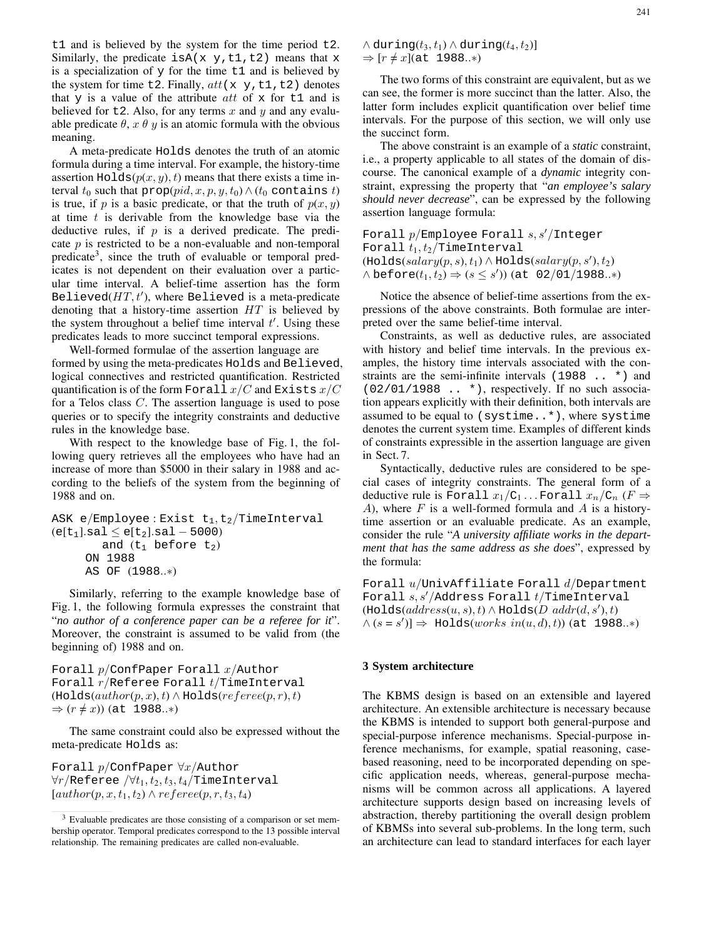$t1$  and is believed by the system for the time period  $t2$ . Similarly, the predicate isA( $x$   $y$ ,  $t1$ ,  $t2$ ) means that x is a specialization of  $y$  for the time  $t1$  and is believed by the system for time t2. Finally,  $att(x, y, t1, t2)$  denotes that y is a value of the attribute *att* of x for t1 and is believed for  $\text{\texttt{t2}}$ . Also, for any terms *x* and *y* and any evaluable predicate  $\theta$ ,  $x \theta y$  is an atomic formula with the obvious meaning.

A meta-predicate Holds denotes the truth of an atomic formula during a time interval. For example, the history-time assertion  $Holds(p(x, y), t)$  means that there exists a time interval  $t_0$  such that  $prop(pid, x, p, y, t_0) \wedge (t_0 \text{ contains } t)$ is true, if *p* is a basic predicate, or that the truth of  $p(x, y)$ at time *t* is derivable from the knowledge base via the deductive rules, if p is a derived predicate. The predicate *p* is restricted to be a non-evaluable and non-temporal predicate<sup>3</sup>, since the truth of evaluable or temporal predicates is not dependent on their evaluation over a particular time interval. A belief-time assertion has the form Believed $(HT,t'),$  where Believed is a meta-predicate denoting that a history-time assertion *HT* is believed by the system throughout a belief time interval  $t'$ . Using these predicates leads to more succinct temporal expressions.

Well-formed formulae of the assertion language are formed by using the meta-predicates Holds and Believed, logical connectives and restricted quantification. Restricted quantification is of the form Forall *x/C* and Exists *x/C* for a Telos class *C*. The assertion language is used to pose queries or to specify the integrity constraints and deductive rules in the knowledge base.

With respect to the knowledge base of Fig. 1, the following query retrieves all the employees who have had an increase of more than \$5000 in their salary in 1988 and according to the beliefs of the system from the beginning of 1988 and on.

```
ASK e/Employee: Exist t<sub>1</sub>, t<sub>2</sub>/TimeInterval
(e[t1].sal ≤ e[t2].sal − 5000)
         and (t_1 before t_2)
      ON 1988
      AS OF (1988..∗)
```
Similarly, referring to the example knowledge base of Fig. 1, the following formula expresses the constraint that "*no author of a conference paper can be a referee for it*". Moreover, the constraint is assumed to be valid from (the beginning of) 1988 and on.

Forall *p/*ConfPaper Forall *x/*Author Forall *r/*Referee Forall *t/*TimeInterval (Holds(*author*(*p, x*)*, t*) *∧* Holds(*referee*(*p, r*)*, t*) *⇒* (*r /*= *x*)) (at 1988*..∗*)

The same constraint could also be expressed without the meta-predicate Holds as:

Forall *p/*ConfPaper *∀x/*Author *∀r/*Referee */∀t*1*, t*2*, t*3*, t*4*/*TimeInterval  $[author(p, x, t_1, t_2) \wedge reference(p, r, t_3, t_4)]$ 

*∧* during(*t*3*, t*1) *∧* during(*t*4*, t*2)] *⇒* [*r /*= *x*](at 1988*..∗*)

The two forms of this constraint are equivalent, but as we can see, the former is more succinct than the latter. Also, the latter form includes explicit quantification over belief time intervals. For the purpose of this section, we will only use the succinct form.

The above constraint is an example of a *static* constraint, i.e., a property applicable to all states of the domain of discourse. The canonical example of a *dynamic* integrity constraint, expressing the property that "*an employee's salary should never decrease*", can be expressed by the following assertion language formula:

Forall *p/*Employee Forall *s, s<sup>0</sup> /*Integer Forall *t*1*, t*2*/*TimeInterval (Holds(*salary*(*p, s*)*, t*1) *∧* Holds(*salary*(*p, s<sup>0</sup>* )*, t*2) *∧* before(*t*1*, t*2) *⇒* (*s ≤ s<sup>0</sup>* )) (at 02*/*01*/*1988*..∗*)

Notice the absence of belief-time assertions from the expressions of the above constraints. Both formulae are interpreted over the same belief-time interval.

Constraints, as well as deductive rules, are associated with history and belief time intervals. In the previous examples, the history time intervals associated with the constraints are the semi-infinite intervals (1988 .. \*) and (02/01/1988 .. \*), respectively. If no such association appears explicitly with their definition, both intervals are assumed to be equal to (systime..\*), where systime denotes the current system time. Examples of different kinds of constraints expressible in the assertion language are given in Sect. 7.

Syntactically, deductive rules are considered to be special cases of integrity constraints. The general form of a deductive rule is Forall  $x_1/C_1 \ldots$  Forall  $x_n/C_n$  ( $F \Rightarrow$ *A*), where *F* is a well-formed formula and *A* is a historytime assertion or an evaluable predicate. As an example, consider the rule "*A university affiliate works in the department that has the same address as she does*", expressed by the formula:

Forall *u/*UnivAffiliate Forall *d/*Department Forall  $s, s'/$ Address Forall  $t/$ TimeInterval (Holds(*address*(*u, s*)*, t*) *∧* Holds(*D addr*(*d, s<sup>0</sup>* )*, t*) *∧* (*s* = *s<sup>0</sup>* )] *⇒* Holds(*works in*(*u, d*)*, t*)) (at 1988*..∗*)

# **3 System architecture**

The KBMS design is based on an extensible and layered architecture. An extensible architecture is necessary because the KBMS is intended to support both general-purpose and special-purpose inference mechanisms. Special-purpose inference mechanisms, for example, spatial reasoning, casebased reasoning, need to be incorporated depending on specific application needs, whereas, general-purpose mechanisms will be common across all applications. A layered architecture supports design based on increasing levels of abstraction, thereby partitioning the overall design problem of KBMSs into several sub-problems. In the long term, such an architecture can lead to standard interfaces for each layer

<sup>&</sup>lt;sup>3</sup> Evaluable predicates are those consisting of a comparison or set membership operator. Temporal predicates correspond to the 13 possible interval relationship. The remaining predicates are called non-evaluable.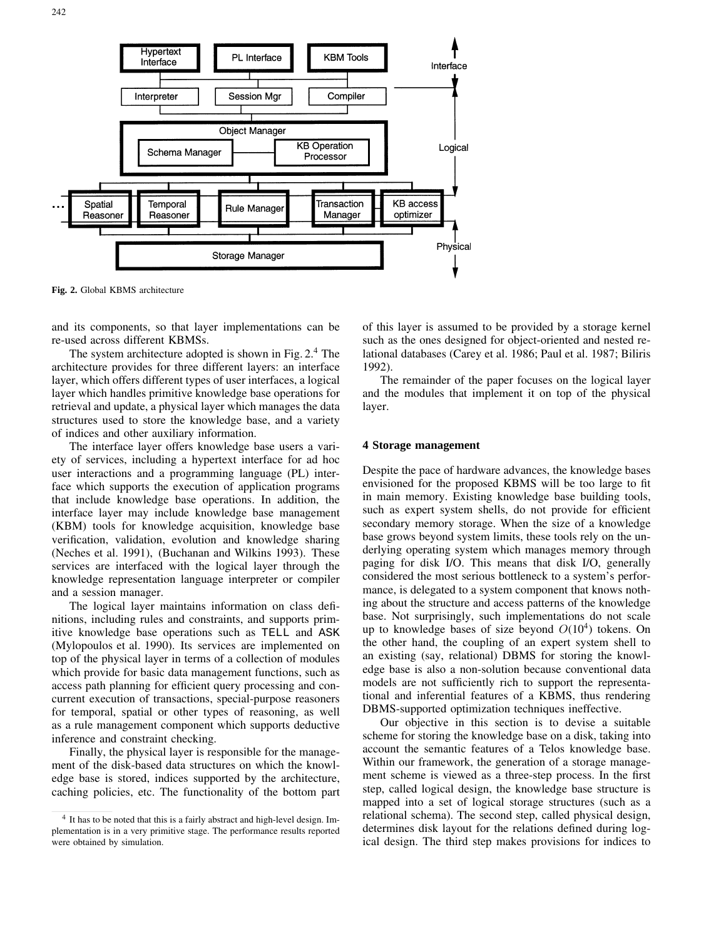

**Fig. 2.** Global KBMS architecture

and its components, so that layer implementations can be re-used across different KBMSs.

The system architecture adopted is shown in Fig. 2.<sup>4</sup> The architecture provides for three different layers: an interface layer, which offers different types of user interfaces, a logical layer which handles primitive knowledge base operations for retrieval and update, a physical layer which manages the data structures used to store the knowledge base, and a variety of indices and other auxiliary information.

The interface layer offers knowledge base users a variety of services, including a hypertext interface for ad hoc user interactions and a programming language (PL) interface which supports the execution of application programs that include knowledge base operations. In addition, the interface layer may include knowledge base management (KBM) tools for knowledge acquisition, knowledge base verification, validation, evolution and knowledge sharing (Neches et al. 1991), (Buchanan and Wilkins 1993). These services are interfaced with the logical layer through the knowledge representation language interpreter or compiler and a session manager.

The logical layer maintains information on class definitions, including rules and constraints, and supports primitive knowledge base operations such as TELL and ASK (Mylopoulos et al. 1990). Its services are implemented on top of the physical layer in terms of a collection of modules which provide for basic data management functions, such as access path planning for efficient query processing and concurrent execution of transactions, special-purpose reasoners for temporal, spatial or other types of reasoning, as well as a rule management component which supports deductive inference and constraint checking.

Finally, the physical layer is responsible for the management of the disk-based data structures on which the knowledge base is stored, indices supported by the architecture, caching policies, etc. The functionality of the bottom part of this layer is assumed to be provided by a storage kernel such as the ones designed for object-oriented and nested relational databases (Carey et al. 1986; Paul et al. 1987; Biliris 1992).

The remainder of the paper focuses on the logical layer and the modules that implement it on top of the physical layer.

## **4 Storage management**

Despite the pace of hardware advances, the knowledge bases envisioned for the proposed KBMS will be too large to fit in main memory. Existing knowledge base building tools, such as expert system shells, do not provide for efficient secondary memory storage. When the size of a knowledge base grows beyond system limits, these tools rely on the underlying operating system which manages memory through paging for disk I/O. This means that disk I/O, generally considered the most serious bottleneck to a system's performance, is delegated to a system component that knows nothing about the structure and access patterns of the knowledge base. Not surprisingly, such implementations do not scale up to knowledge bases of size beyond  $O(10^4)$  tokens. On the other hand, the coupling of an expert system shell to an existing (say, relational) DBMS for storing the knowledge base is also a non-solution because conventional data models are not sufficiently rich to support the representational and inferential features of a KBMS, thus rendering DBMS-supported optimization techniques ineffective.

Our objective in this section is to devise a suitable scheme for storing the knowledge base on a disk, taking into account the semantic features of a Telos knowledge base. Within our framework, the generation of a storage management scheme is viewed as a three-step process. In the first step, called logical design, the knowledge base structure is mapped into a set of logical storage structures (such as a relational schema). The second step, called physical design, determines disk layout for the relations defined during logical design. The third step makes provisions for indices to

<sup>4</sup> It has to be noted that this is a fairly abstract and high-level design. Implementation is in a very primitive stage. The performance results reported were obtained by simulation.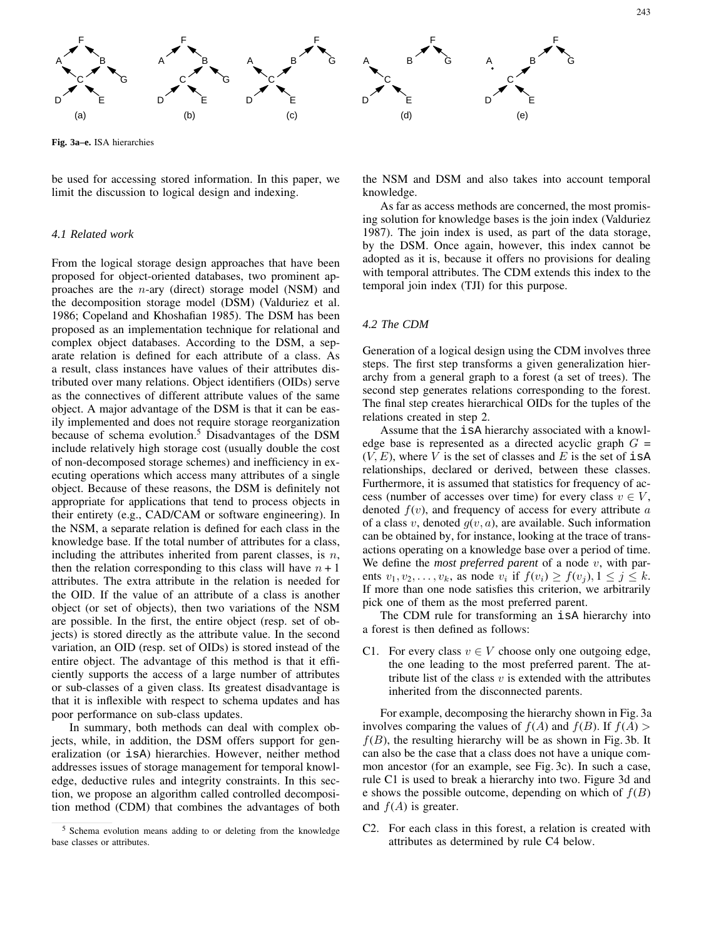

**Fig. 3a–e.** ISA hierarchies

be used for accessing stored information. In this paper, we limit the discussion to logical design and indexing.

# *4.1 Related work*

From the logical storage design approaches that have been proposed for object-oriented databases, two prominent approaches are the *n*-ary (direct) storage model (NSM) and the decomposition storage model (DSM) (Valduriez et al. 1986; Copeland and Khoshafian 1985). The DSM has been proposed as an implementation technique for relational and complex object databases. According to the DSM, a separate relation is defined for each attribute of a class. As a result, class instances have values of their attributes distributed over many relations. Object identifiers (OIDs) serve as the connectives of different attribute values of the same object. A major advantage of the DSM is that it can be easily implemented and does not require storage reorganization because of schema evolution.<sup>5</sup> Disadvantages of the DSM include relatively high storage cost (usually double the cost of non-decomposed storage schemes) and inefficiency in executing operations which access many attributes of a single object. Because of these reasons, the DSM is definitely not appropriate for applications that tend to process objects in their entirety (e.g., CAD/CAM or software engineering). In the NSM, a separate relation is defined for each class in the knowledge base. If the total number of attributes for a class, including the attributes inherited from parent classes, is *n*, then the relation corresponding to this class will have  $n + 1$ attributes. The extra attribute in the relation is needed for the OID. If the value of an attribute of a class is another object (or set of objects), then two variations of the NSM are possible. In the first, the entire object (resp. set of objects) is stored directly as the attribute value. In the second variation, an OID (resp. set of OIDs) is stored instead of the entire object. The advantage of this method is that it efficiently supports the access of a large number of attributes or sub-classes of a given class. Its greatest disadvantage is that it is inflexible with respect to schema updates and has poor performance on sub-class updates.

In summary, both methods can deal with complex objects, while, in addition, the DSM offers support for generalization (or isA) hierarchies. However, neither method addresses issues of storage management for temporal knowledge, deductive rules and integrity constraints. In this section, we propose an algorithm called controlled decomposition method (CDM) that combines the advantages of both



the NSM and DSM and also takes into account temporal knowledge.

As far as access methods are concerned, the most promising solution for knowledge bases is the join index (Valduriez 1987). The join index is used, as part of the data storage, by the DSM. Once again, however, this index cannot be adopted as it is, because it offers no provisions for dealing with temporal attributes. The CDM extends this index to the temporal join index (TJI) for this purpose.

# *4.2 The CDM*

Generation of a logical design using the CDM involves three steps. The first step transforms a given generalization hierarchy from a general graph to a forest (a set of trees). The second step generates relations corresponding to the forest. The final step creates hierarchical OIDs for the tuples of the relations created in step 2.

Assume that the isA hierarchy associated with a knowledge base is represented as a directed acyclic graph  $G =$  $(V, E)$ , where *V* is the set of classes and *E* is the set of isA relationships, declared or derived, between these classes. Furthermore, it is assumed that statistics for frequency of access (number of accesses over time) for every class  $v \in V$ , denoted *f*(*v*), and frequency of access for every attribute *a* of a class *v*, denoted *g*(*v, a*), are available. Such information can be obtained by, for instance, looking at the trace of transactions operating on a knowledge base over a period of time. We define the *most preferred parent* of a node *v*, with parents  $v_1, v_2, \ldots, v_k$ , as node  $v_i$  if  $f(v_i) \ge f(v_j), 1 \le j \le k$ . If more than one node satisfies this criterion, we arbitrarily pick one of them as the most preferred parent.

The CDM rule for transforming an isA hierarchy into a forest is then defined as follows:

C1. For every class  $v \in V$  choose only one outgoing edge, the one leading to the most preferred parent. The attribute list of the class  $v$  is extended with the attributes inherited from the disconnected parents.

For example, decomposing the hierarchy shown in Fig. 3a involves comparing the values of  $f(A)$  and  $f(B)$ . If  $f(A)$  $f(B)$ , the resulting hierarchy will be as shown in Fig. 3b. It can also be the case that a class does not have a unique common ancestor (for an example, see Fig. 3c). In such a case, rule C1 is used to break a hierarchy into two. Figure 3d and e shows the possible outcome, depending on which of  $f(B)$ and  $f(A)$  is greater.

C2. For each class in this forest, a relation is created with attributes as determined by rule C4 below.

<sup>5</sup> Schema evolution means adding to or deleting from the knowledge base classes or attributes.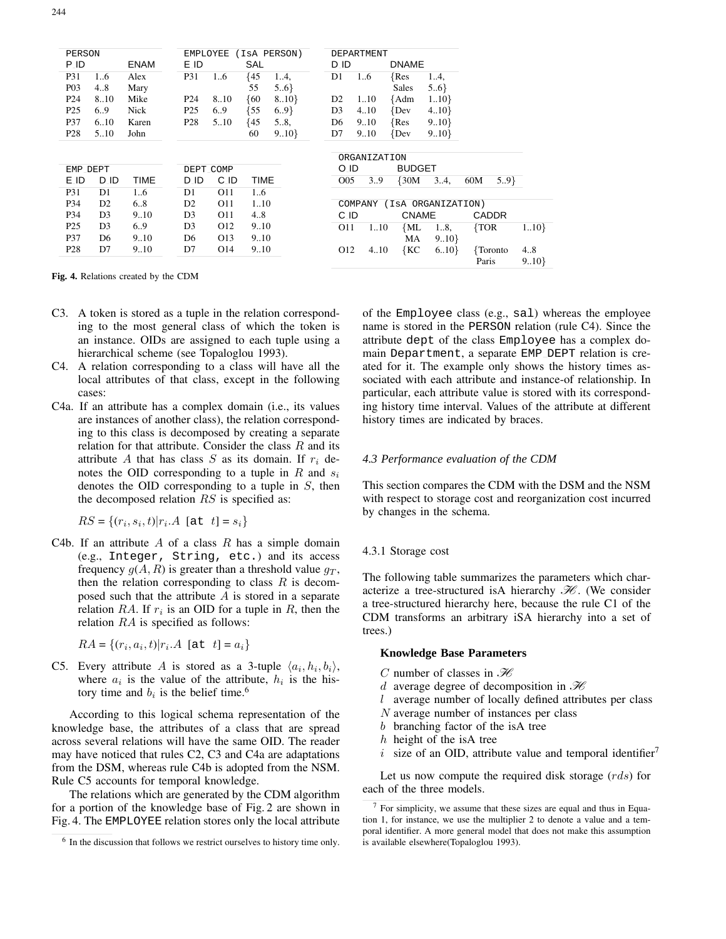| PERSON           |                |             | <b>EMPLOYEE</b> |           |             | (IsA PERSON) |                 | DEPARTMENT   |                    |          |              |          |      |
|------------------|----------------|-------------|-----------------|-----------|-------------|--------------|-----------------|--------------|--------------------|----------|--------------|----------|------|
| P_ID             |                | <b>ENAM</b> | E_ID            |           | SAL         |              | D.ID            |              | <b>DNAME</b>       |          |              |          |      |
| <b>P31</b>       | 16             | Alex        | <b>P31</b>      | 1.6       | {45         | 1.4.         | D1              | 16           | {Res               | 1.4,     |              |          |      |
| P <sub>0</sub> 3 | 4.8            | Mary        |                 |           | 55          | 5.6          |                 |              | Sales              | 5.6      |              |          |      |
| P <sub>24</sub>  | 8.10           | Mike        | P <sub>24</sub> | 8.10      | ${60}$      | 8.10         | D <sub>2</sub>  | 1.10         | {Adm               | 1.10     |              |          |      |
| P <sub>25</sub>  | 6.9            | Nick        | P <sub>25</sub> | 6.9       | ${55$       | 6.9          | D <sub>3</sub>  | 4.10         | $\{Dev$            | 4.10     |              |          |      |
| P37              | 6.10           | Karen       | P <sub>28</sub> | 5.10      | {45         | 5.8,         | D <sub>6</sub>  | 9.10         | ${Res}$            | 9.10     |              |          |      |
| P <sub>28</sub>  | 5.10           | John        |                 |           | 60          | 9.10         | D7              | 9.10         | ${Dev}$            | 9.10     |              |          |      |
|                  |                |             |                 |           |             |              |                 |              |                    |          |              |          |      |
|                  |                |             |                 |           |             |              |                 | ORGANIZATION |                    |          |              |          |      |
| EMP_DEPT         |                |             |                 | DEPT_COMP |             |              | O_ID            |              | <b>BUDGET</b>      |          |              |          |      |
| E_ID             | D_ID           | <b>TIME</b> | D_ID            | C_ID      | <b>TIME</b> |              | O05             | 3.9          | $\{30M$            | 3.4.     | 60M          | 5.9      |      |
| <b>P31</b>       | D1             | 1.6         | D1              | O11       | 1.6         |              |                 |              |                    |          |              |          |      |
| P34              | D2             | 6.8         | D <sub>2</sub>  | O11       | 1.10        |              |                 | COMPANY      | (IsA ORGANIZATION) |          |              |          |      |
| P34              | D <sub>3</sub> | 9.10        | D <sub>3</sub>  | O11       | 4.8         |              | C_ID            |              | <b>CNAME</b>       |          | <b>CADDR</b> |          |      |
| P <sub>25</sub>  | D <sub>3</sub> | 6.9         | D <sub>3</sub>  | O12       | 9.10        |              | O11             | 110          | $\{ML$             | 18,      | {TOR         |          | 1.10 |
| P37              | D <sub>6</sub> | 9.10        | D <sub>6</sub>  | O13       | 9.10        |              |                 |              | MA                 | 9.10     |              |          |      |
| P <sub>28</sub>  | D7             | 9.10        | D7              | O14       | 9.10        |              | O <sub>12</sub> | 4.10         | ${K}C$             | $6.10\}$ |              | {Toronto | 4.8  |
|                  |                |             |                 |           |             |              |                 |              |                    |          | Paris        |          | 9.10 |

**Fig. 4.** Relations created by the CDM

- C3. A token is stored as a tuple in the relation corresponding to the most general class of which the token is an instance. OIDs are assigned to each tuple using a hierarchical scheme (see Topaloglou 1993).
- C4. A relation corresponding to a class will have all the local attributes of that class, except in the following cases:
- C4a. If an attribute has a complex domain (i.e., its values are instances of another class), the relation corresponding to this class is decomposed by creating a separate relation for that attribute. Consider the class *R* and its attribute *A* that has class *S* as its domain. If  $r_i$  denotes the OID corresponding to a tuple in *R* and *s<sup>i</sup>* denotes the OID corresponding to a tuple in *S*, then the decomposed relation *RS* is specified as:

 $RS = \{(r_i, s_i, t) | r_i.A \text{ [at } t\} = s_i\}$ 

C4b. If an attribute *A* of a class *R* has a simple domain (e.g., Integer, String, etc.) and its access frequency  $g(A, R)$  is greater than a threshold value  $g<sub>T</sub>$ , then the relation corresponding to class *R* is decomposed such that the attribute *A* is stored in a separate relation *RA*. If  $r_i$  is an OID for a tuple in *R*, then the relation *RA* is specified as follows:

 $RA = \{(r_i, a_i, t) | r_i.A \text{ [at } t\} = a_i\}$ 

C5. Every attribute *A* is stored as a 3-tuple  $\langle a_i, h_i, b_i \rangle$ , where  $a_i$  is the value of the attribute,  $h_i$  is the history time and  $b_i$  is the belief time.<sup>6</sup>

According to this logical schema representation of the knowledge base, the attributes of a class that are spread across several relations will have the same OID. The reader may have noticed that rules C2, C3 and C4a are adaptations from the DSM, whereas rule C4b is adopted from the NSM. Rule C5 accounts for temporal knowledge.

The relations which are generated by the CDM algorithm for a portion of the knowledge base of Fig. 2 are shown in Fig. 4. The EMPLOYEE relation stores only the local attribute of the Employee class (e.g., sal) whereas the employee name is stored in the PERSON relation (rule C4). Since the attribute dept of the class Employee has a complex domain Department, a separate EMP DEPT relation is created for it. The example only shows the history times associated with each attribute and instance-of relationship. In particular, each attribute value is stored with its corresponding history time interval. Values of the attribute at different history times are indicated by braces.

### *4.3 Performance evaluation of the CDM*

This section compares the CDM with the DSM and the NSM with respect to storage cost and reorganization cost incurred by changes in the schema.

# 4.3.1 Storage cost

The following table summarizes the parameters which characterize a tree-structured isA hierarchy *H*. (We consider a tree-structured hierarchy here, because the rule C1 of the CDM transforms an arbitrary iSA hierarchy into a set of trees.)

# **Knowledge Base Parameters**

- *C* number of classes in  $\mathcal{H}$
- *d* average degree of decomposition in *H*
- *l* average number of locally defined attributes per class
- *N* average number of instances per class
- *b* branching factor of the isA tree
- *h* height of the isA tree
- $i$  size of an OID, attribute value and temporal identifier<sup>7</sup>

Let us now compute the required disk storage (*rds*) for each of the three models.

<sup>6</sup> In the discussion that follows we restrict ourselves to history time only.

 $7$  For simplicity, we assume that these sizes are equal and thus in Equation 1, for instance, we use the multiplier 2 to denote a value and a temporal identifier. A more general model that does not make this assumption is available elsewhere(Topaloglou 1993).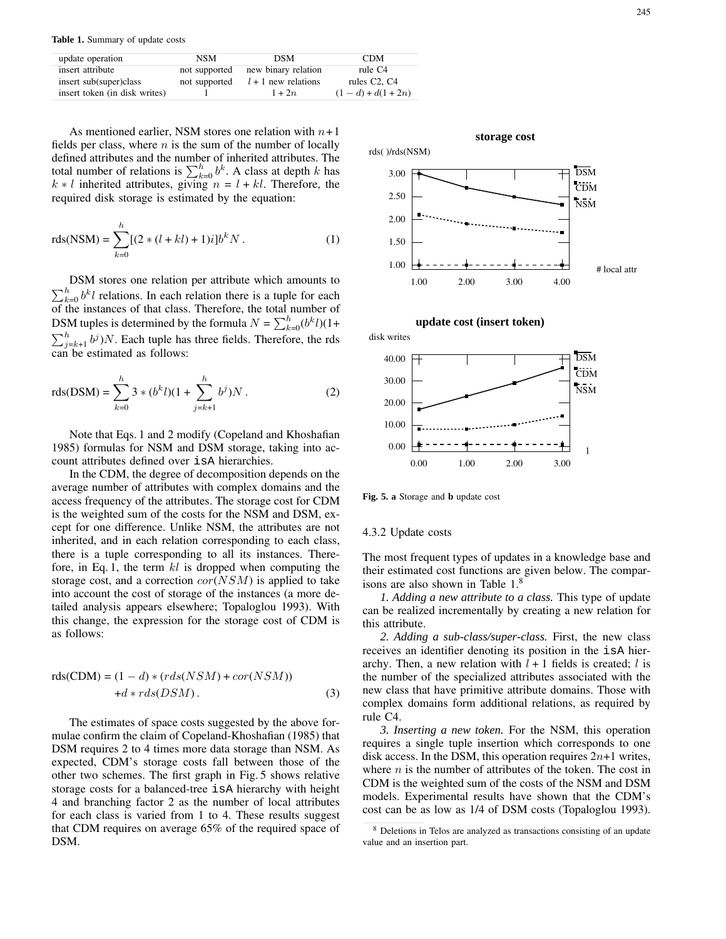| update operation              | <b>NSM</b>    | <b>DSM</b>            | <b>CDM</b>                            |
|-------------------------------|---------------|-----------------------|---------------------------------------|
| insert attribute              | not supported | new binary relation   | rule C <sub>4</sub>                   |
| insert sub(super)class        | not supported | $l + 1$ new relations | rules C <sub>2</sub> . C <sub>4</sub> |
| insert token (in disk writes) |               | $1 + 2n$              | $(1-d)+d(1+2n)$                       |

As mentioned earlier, NSM stores one relation with *n*+1 fields per class, where *n* is the sum of the number of locally defined attributes and the number of inherited attributes. The total number of relations is  $\sum_{k=0}^{h} b^k$ . A class at depth *k* has  $k * l$  inherited attributes, giving  $n = l + kl$ . Therefore, the required disk storage is estimated by the equation:

rds(NSM) = 
$$
\sum_{k=0}^{h} [(2 * (l + kl) + 1)i]b^{k}N.
$$
 (1)

DSM stores one relation per attribute which amounts to  $\sum_{k=0}^{h} b^k l$  relations. In each relation there is a tuple for each of the instances of that class. Therefore, the total number of DSM tuples is determined by the formula  $N = \sum_{k=0}^{h} (b^k l)(1 +$  $\sum_{j=k+1}^{h} b^j$ )*N*. Each tuple has three fields. Therefore, the rds can be estimated as follows:

rds(DSM) = 
$$
\sum_{k=0}^{h} 3 * (b^{k}l)(1 + \sum_{j=k+1}^{h} b^{j})N.
$$
 (2)

Note that Eqs. 1 and 2 modify (Copeland and Khoshafian 1985) formulas for NSM and DSM storage, taking into account attributes defined over isA hierarchies.

In the CDM, the degree of decomposition depends on the average number of attributes with complex domains and the access frequency of the attributes. The storage cost for CDM is the weighted sum of the costs for the NSM and DSM, except for one difference. Unlike NSM, the attributes are not inherited, and in each relation corresponding to each class, there is a tuple corresponding to all its instances. Therefore, in Eq. 1, the term *kl* is dropped when computing the storage cost, and a correction *cor*(*NSM*) is applied to take into account the cost of storage of the instances (a more detailed analysis appears elsewhere; Topaloglou 1993). With this change, the expression for the storage cost of CDM is as follows:

$$
rds(CDM) = (1 - d) * (rds(NSM) + cor(NSM))
$$
  
+d\* rds(DSM). (3)

The estimates of space costs suggested by the above formulae confirm the claim of Copeland-Khoshafian (1985) that DSM requires 2 to 4 times more data storage than NSM. As expected, CDM's storage costs fall between those of the other two schemes. The first graph in Fig. 5 shows relative storage costs for a balanced-tree isA hierarchy with height 4 and branching factor 2 as the number of local attributes for each class is varied from 1 to 4. These results suggest that CDM requires on average 65% of the required space of DSM.





disk writes



**Fig. 5. a** Storage and **b** update cost

## 4.3.2 Update costs

The most frequent types of updates in a knowledge base and their estimated cost functions are given below. The comparisons are also shown in Table 1.<sup>8</sup>

*1. Adding a new attribute to a class.* This type of update can be realized incrementally by creating a new relation for this attribute.

*2. Adding a sub-class/super-class.* First, the new class receives an identifier denoting its position in the isA hierarchy. Then, a new relation with  $l + 1$  fields is created;  $l$  is the number of the specialized attributes associated with the new class that have primitive attribute domains. Those with complex domains form additional relations, as required by rule C4.

*3. Inserting a new token.* For the NSM, this operation requires a single tuple insertion which corresponds to one disk access. In the DSM, this operation requires 2*n*+1 writes, where *n* is the number of attributes of the token. The cost in CDM is the weighted sum of the costs of the NSM and DSM models. Experimental results have shown that the CDM's cost can be as low as 1/4 of DSM costs (Topaloglou 1993).

**storage cost**

<sup>8</sup> Deletions in Telos are analyzed as transactions consisting of an update value and an insertion part.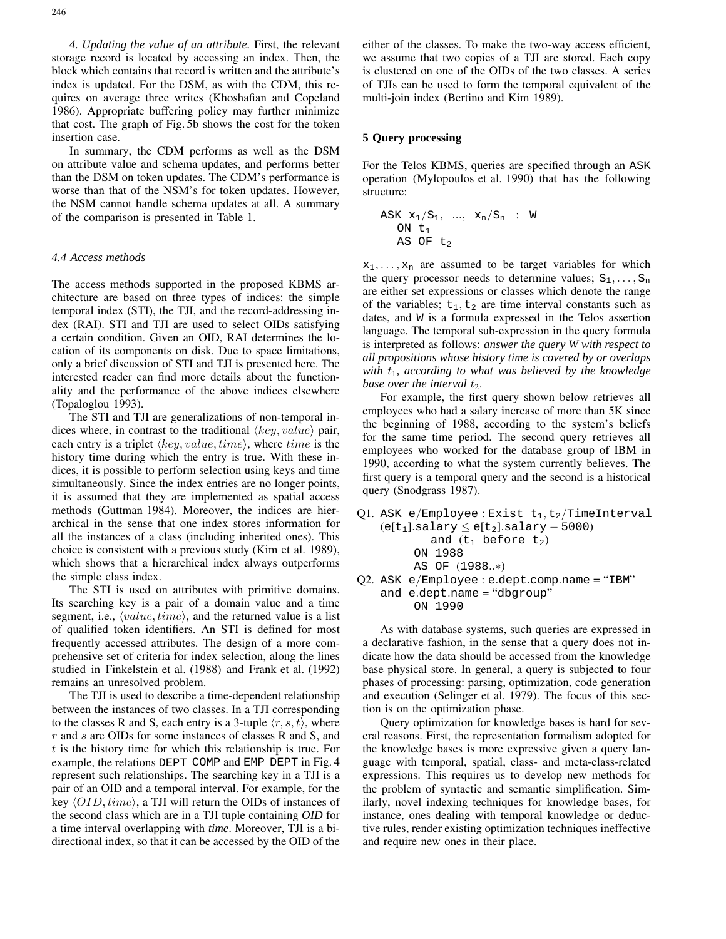*4. Updating the value of an attribute.* First, the relevant storage record is located by accessing an index. Then, the block which contains that record is written and the attribute's index is updated. For the DSM, as with the CDM, this requires on average three writes (Khoshafian and Copeland 1986). Appropriate buffering policy may further minimize that cost. The graph of Fig. 5b shows the cost for the token insertion case.

In summary, the CDM performs as well as the DSM on attribute value and schema updates, and performs better than the DSM on token updates. The CDM's performance is worse than that of the NSM's for token updates. However, the NSM cannot handle schema updates at all. A summary of the comparison is presented in Table 1.

# *4.4 Access methods*

The access methods supported in the proposed KBMS architecture are based on three types of indices: the simple temporal index (STI), the TJI, and the record-addressing index (RAI). STI and TJI are used to select OIDs satisfying a certain condition. Given an OID, RAI determines the location of its components on disk. Due to space limitations, only a brief discussion of STI and TJI is presented here. The interested reader can find more details about the functionality and the performance of the above indices elsewhere (Topaloglou 1993).

The STI and TJI are generalizations of non-temporal indices where, in contrast to the traditional  $\langle key, value \rangle$  pair, each entry is a triplet  $\langle key, value, time \rangle$ , where *time* is the history time during which the entry is true. With these indices, it is possible to perform selection using keys and time simultaneously. Since the index entries are no longer points, it is assumed that they are implemented as spatial access methods (Guttman 1984). Moreover, the indices are hierarchical in the sense that one index stores information for all the instances of a class (including inherited ones). This choice is consistent with a previous study (Kim et al. 1989), which shows that a hierarchical index always outperforms the simple class index.

The STI is used on attributes with primitive domains. Its searching key is a pair of a domain value and a time segment, i.e.,  $\langle value, time \rangle$ , and the returned value is a list of qualified token identifiers. An STI is defined for most frequently accessed attributes. The design of a more comprehensive set of criteria for index selection, along the lines studied in Finkelstein et al. (1988) and Frank et al. (1992) remains an unresolved problem.

The TJI is used to describe a time-dependent relationship between the instances of two classes. In a TJI corresponding to the classes R and S, each entry is a 3-tuple  $\langle r, s, t \rangle$ , where *r* and *s* are OIDs for some instances of classes R and S, and *t* is the history time for which this relationship is true. For example, the relations DEPT COMP and EMP DEPT in Fig. 4 represent such relationships. The searching key in a TJI is a pair of an OID and a temporal interval. For example, for the key  $\langle OID, time \rangle$ , a TJI will return the OIDs of instances of the second class which are in a TJI tuple containing *OID* for a time interval overlapping with *time*. Moreover, TJI is a bidirectional index, so that it can be accessed by the OID of the

either of the classes. To make the two-way access efficient, we assume that two copies of a TJI are stored. Each copy is clustered on one of the OIDs of the two classes. A series of TJIs can be used to form the temporal equivalent of the multi-join index (Bertino and Kim 1989).

## **5 Query processing**

For the Telos KBMS, queries are specified through an ASK operation (Mylopoulos et al. 1990) that has the following structure:

$$
\begin{array}{ll}\n\text{ASK } x_1/S_1, \ \ldots, \ x_n/S_n \ : \ W \\
\text{ON } t_1 \\
\text{AS OF } t_2\n\end{array}
$$

 $x_1, \ldots, x_n$  are assumed to be target variables for which the query processor needs to determine values;  $S_1, \ldots, S_n$ are either set expressions or classes which denote the range of the variables;  $t_1, t_2$  are time interval constants such as dates, and W is a formula expressed in the Telos assertion language. The temporal sub-expression in the query formula is interpreted as follows: *answer the query W with respect to all propositions whose history time is covered by or overlaps with t*1*, according to what was believed by the knowledge base over the interval*  $t_2$ .

For example, the first query shown below retrieves all employees who had a salary increase of more than 5K since the beginning of 1988, according to the system's beliefs for the same time period. The second query retrieves all employees who worked for the database group of IBM in 1990, according to what the system currently believes. The first query is a temporal query and the second is a historical query (Snodgrass 1987).

```
Q1. ASK e/Employee: Exist t<sub>1</sub>, t<sub>2</sub>/TimeInterval
    (e[t1].salary ≤ e[t2].salary − 5000)
             and (t_1 before t_2)
          ON 1988
          AS OF (1988..∗)
Q2. ASK e/Employee : e.dept.comp.name = "IBM"
```
and e*.*dept*.*name = "dbgroup" ON 1990

As with database systems, such queries are expressed in a declarative fashion, in the sense that a query does not indicate how the data should be accessed from the knowledge base physical store. In general, a query is subjected to four phases of processing: parsing, optimization, code generation and execution (Selinger et al. 1979). The focus of this section is on the optimization phase.

Query optimization for knowledge bases is hard for several reasons. First, the representation formalism adopted for the knowledge bases is more expressive given a query language with temporal, spatial, class- and meta-class-related expressions. This requires us to develop new methods for the problem of syntactic and semantic simplification. Similarly, novel indexing techniques for knowledge bases, for instance, ones dealing with temporal knowledge or deductive rules, render existing optimization techniques ineffective and require new ones in their place.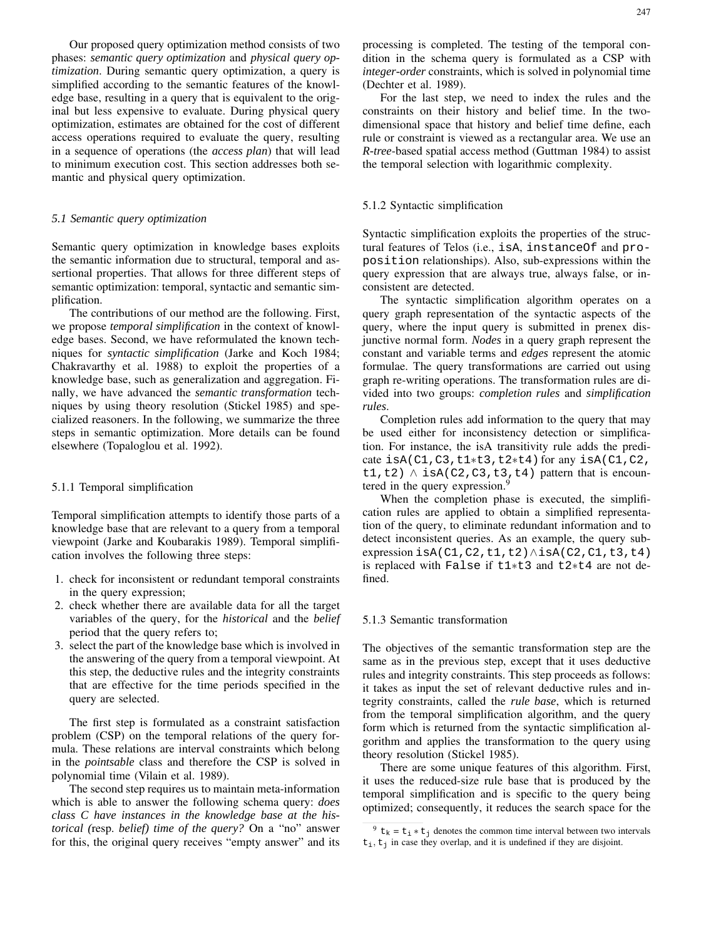Our proposed query optimization method consists of two phases: *semantic query optimization* and *physical query optimization*. During semantic query optimization, a query is simplified according to the semantic features of the knowledge base, resulting in a query that is equivalent to the original but less expensive to evaluate. During physical query optimization, estimates are obtained for the cost of different access operations required to evaluate the query, resulting in a sequence of operations (the *access plan*) that will lead to minimum execution cost. This section addresses both semantic and physical query optimization.

## *5.1 Semantic query optimization*

Semantic query optimization in knowledge bases exploits the semantic information due to structural, temporal and assertional properties. That allows for three different steps of semantic optimization: temporal, syntactic and semantic simplification.

The contributions of our method are the following. First, we propose *temporal simplification* in the context of knowledge bases. Second, we have reformulated the known techniques for *syntactic simplification* (Jarke and Koch 1984; Chakravarthy et al. 1988) to exploit the properties of a knowledge base, such as generalization and aggregation. Finally, we have advanced the *semantic transformation* techniques by using theory resolution (Stickel 1985) and specialized reasoners. In the following, we summarize the three steps in semantic optimization. More details can be found elsewhere (Topaloglou et al. 1992).

#### 5.1.1 Temporal simplification

Temporal simplification attempts to identify those parts of a knowledge base that are relevant to a query from a temporal viewpoint (Jarke and Koubarakis 1989). Temporal simplification involves the following three steps:

- 1. check for inconsistent or redundant temporal constraints in the query expression;
- 2. check whether there are available data for all the target variables of the query, for the *historical* and the *belief* period that the query refers to;
- 3. select the part of the knowledge base which is involved in the answering of the query from a temporal viewpoint. At this step, the deductive rules and the integrity constraints that are effective for the time periods specified in the query are selected.

The first step is formulated as a constraint satisfaction problem (CSP) on the temporal relations of the query formula. These relations are interval constraints which belong in the *pointsable* class and therefore the CSP is solved in polynomial time (Vilain et al. 1989).

The second step requires us to maintain meta-information which is able to answer the following schema query: *does class C have instances in the knowledge base at the historical (*resp. *belief) time of the query?* On a "no" answer for this, the original query receives "empty answer" and its processing is completed. The testing of the temporal condition in the schema query is formulated as a CSP with *integer-order* constraints, which is solved in polynomial time (Dechter et al. 1989).

For the last step, we need to index the rules and the constraints on their history and belief time. In the twodimensional space that history and belief time define, each rule or constraint is viewed as a rectangular area. We use an *R-tree*-based spatial access method (Guttman 1984) to assist the temporal selection with logarithmic complexity.

# 5.1.2 Syntactic simplification

Syntactic simplification exploits the properties of the structural features of Telos (i.e., isA, instanceOf and proposition relationships). Also, sub-expressions within the query expression that are always true, always false, or inconsistent are detected.

The syntactic simplification algorithm operates on a query graph representation of the syntactic aspects of the query, where the input query is submitted in prenex disjunctive normal form. *Nodes* in a query graph represent the constant and variable terms and *edges* represent the atomic formulae. The query transformations are carried out using graph re-writing operations. The transformation rules are divided into two groups: *completion rules* and *simplification rules*.

Completion rules add information to the query that may be used either for inconsistency detection or simplification. For instance, the isA transitivity rule adds the predicate isA(C1,C3,t1*∗*t3,t2*∗*t4)for any isA(C1,C2, t1,t2)  $\land$  isA(C2,C3,t3,t4) pattern that is encountered in the query expression.<sup>9</sup>

When the completion phase is executed, the simplification rules are applied to obtain a simplified representation of the query, to eliminate redundant information and to detect inconsistent queries. As an example, the query subexpression isA(C1,C2,t1,t2)*∧*isA(C2,C1,t3,t4) is replaced with False if t1*∗*t3 and t2*∗*t4 are not defined.

# 5.1.3 Semantic transformation

The objectives of the semantic transformation step are the same as in the previous step, except that it uses deductive rules and integrity constraints. This step proceeds as follows: it takes as input the set of relevant deductive rules and integrity constraints, called the *rule base*, which is returned from the temporal simplification algorithm, and the query form which is returned from the syntactic simplification algorithm and applies the transformation to the query using theory resolution (Stickel 1985).

There are some unique features of this algorithm. First, it uses the reduced-size rule base that is produced by the temporal simplification and is specific to the query being optimized; consequently, it reduces the search space for the

<sup>&</sup>lt;sup>9</sup> t<sub>k</sub> = t<sub>i</sub>  $*$  t<sub>j</sub> denotes the common time interval between two intervals  $t_i, t_j$  in case they overlap, and it is undefined if they are disjoint.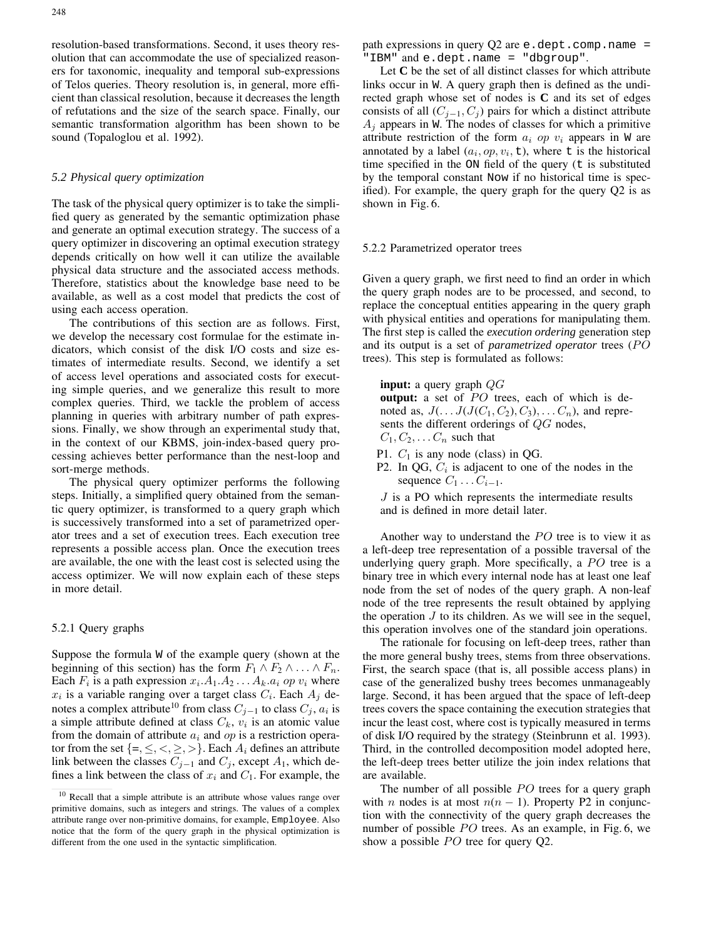resolution-based transformations. Second, it uses theory resolution that can accommodate the use of specialized reasoners for taxonomic, inequality and temporal sub-expressions of Telos queries. Theory resolution is, in general, more efficient than classical resolution, because it decreases the length of refutations and the size of the search space. Finally, our semantic transformation algorithm has been shown to be sound (Topaloglou et al. 1992).

## *5.2 Physical query optimization*

The task of the physical query optimizer is to take the simplified query as generated by the semantic optimization phase and generate an optimal execution strategy. The success of a query optimizer in discovering an optimal execution strategy depends critically on how well it can utilize the available physical data structure and the associated access methods. Therefore, statistics about the knowledge base need to be available, as well as a cost model that predicts the cost of using each access operation.

The contributions of this section are as follows. First, we develop the necessary cost formulae for the estimate indicators, which consist of the disk I/O costs and size estimates of intermediate results. Second, we identify a set of access level operations and associated costs for executing simple queries, and we generalize this result to more complex queries. Third, we tackle the problem of access planning in queries with arbitrary number of path expressions. Finally, we show through an experimental study that, in the context of our KBMS, join-index-based query processing achieves better performance than the nest-loop and sort-merge methods.

The physical query optimizer performs the following steps. Initially, a simplified query obtained from the semantic query optimizer, is transformed to a query graph which is successively transformed into a set of parametrized operator trees and a set of execution trees. Each execution tree represents a possible access plan. Once the execution trees are available, the one with the least cost is selected using the access optimizer. We will now explain each of these steps in more detail.

### 5.2.1 Query graphs

Suppose the formula W of the example query (shown at the beginning of this section) has the form  $F_1 \wedge F_2 \wedge \ldots \wedge F_n$ . Each  $F_i$  is a path expression  $x_i.A_1.A_2 \ldots A_k.a_i$  op  $v_i$  where  $x_i$  is a variable ranging over a target class  $C_i$ . Each  $A_j$  denotes a complex attribute<sup>10</sup> from class  $C_{j-1}$  to class  $C_j$ ,  $a_i$  is a simple attribute defined at class  $C_k$ ,  $v_i$  is an atomic value from the domain of attribute  $a_i$  and  $op$  is a restriction operator from the set  $\{=,\leq,<,\geq,>\}$ . Each  $A_i$  defines an attribute link between the classes  $C_{j-1}$  and  $C_j$ , except  $A_1$ , which defines a link between the class of  $x_i$  and  $C_1$ . For example, the path expressions in query  $Q2$  are  $e$ . dept.comp.name = "IBM" and e.dept.name = "dbgroup".

Let **C** be the set of all distinct classes for which attribute links occur in W. A query graph then is defined as the undirected graph whose set of nodes is **C** and its set of edges consists of all  $(C_{j-1}, C_j)$  pairs for which a distinct attribute  $A_i$  appears in W. The nodes of classes for which a primitive attribute restriction of the form  $a_i$  *op*  $v_i$  appears in W are annotated by a label  $(a_i, op, v_i, t)$ , where t is the historical time specified in the  $ON$  field of the query ( $t$  is substituted by the temporal constant Now if no historical time is specified). For example, the query graph for the query Q2 is as shown in Fig. 6.

# 5.2.2 Parametrized operator trees

Given a query graph, we first need to find an order in which the query graph nodes are to be processed, and second, to replace the conceptual entities appearing in the query graph with physical entities and operations for manipulating them. The first step is called the *execution ordering* generation step and its output is a set of *parametrized operator* trees (PO trees). This step is formulated as follows:

**input:** a query graph *QG*

**output:** a set of *PO* trees, each of which is denoted as,  $J(\ldots J(J(C_1, C_2), C_3), \ldots, C_n)$ , and represents the different orderings of *QG* nodes,  $C_1, C_2, \ldots C_n$  such that

- P1. *C*<sup>1</sup> is any node (class) in QG.
- P2. In QG, *C<sup>i</sup>* is adjacent to one of the nodes in the sequence  $C_1 \ldots C_{i-1}$ .

*J* is a PO which represents the intermediate results and is defined in more detail later.

Another way to understand the *PO* tree is to view it as a left-deep tree representation of a possible traversal of the underlying query graph. More specifically, a PO tree is a binary tree in which every internal node has at least one leaf node from the set of nodes of the query graph. A non-leaf node of the tree represents the result obtained by applying the operation  $J$  to its children. As we will see in the sequel, this operation involves one of the standard join operations.

The rationale for focusing on left-deep trees, rather than the more general bushy trees, stems from three observations. First, the search space (that is, all possible access plans) in case of the generalized bushy trees becomes unmanageably large. Second, it has been argued that the space of left-deep trees covers the space containing the execution strategies that incur the least cost, where cost is typically measured in terms of disk I/O required by the strategy (Steinbrunn et al. 1993). Third, in the controlled decomposition model adopted here, the left-deep trees better utilize the join index relations that are available.

The number of all possible *PO* trees for a query graph with *n* nodes is at most  $n(n - 1)$ . Property P2 in conjunction with the connectivity of the query graph decreases the number of possible *PO* trees. As an example, in Fig. 6, we show a possible *PO* tree for query Q2.

<sup>&</sup>lt;sup>10</sup> Recall that a simple attribute is an attribute whose values range over primitive domains, such as integers and strings. The values of a complex attribute range over non-primitive domains, for example, Employee. Also notice that the form of the query graph in the physical optimization is different from the one used in the syntactic simplification.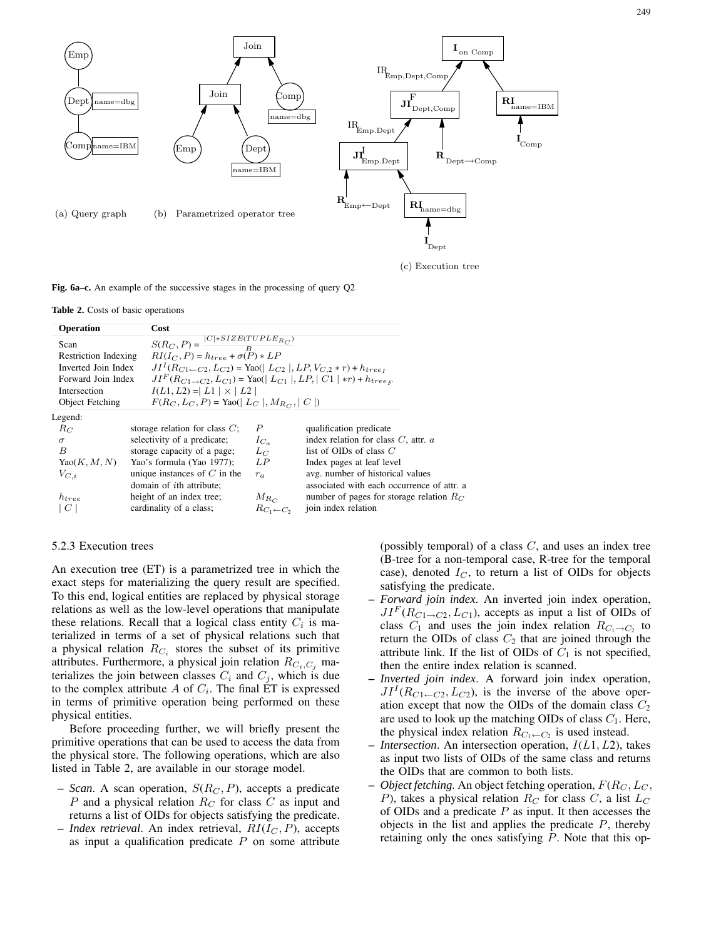

**Fig. 6a–c.** An example of the successive stages in the processing of query Q2

# **Table 2.** Costs of basic operations

| <b>Operation</b>            | Cost                                                                       |                          |                                            |  |  |  |  |  |  |
|-----------------------------|----------------------------------------------------------------------------|--------------------------|--------------------------------------------|--|--|--|--|--|--|
| Scan                        | $S(R_C, P) = \frac{ C  * SIZE(TUPLE_{R_C})}{P}$                            |                          |                                            |  |  |  |  |  |  |
| <b>Restriction Indexing</b> | $RI(I_C, P) = h_{tree} + \sigma(P) * LP$                                   |                          |                                            |  |  |  |  |  |  |
| Inverted Join Index         | $JII(RC1 \leftarrow C2, LC2)$ = Yao(  $LC2$  , LP, $VC,2 * r$ ) + $htreeI$ |                          |                                            |  |  |  |  |  |  |
| Forward Join Index          | $JIF(RC1\rightarrow C2, LC1) =$ Yao(  $LC1$  , LP,   C1   *r) + $htreeF$   |                          |                                            |  |  |  |  |  |  |
| Intersection                | $I(L1, L2) =  L1  \times  L2 $                                             |                          |                                            |  |  |  |  |  |  |
| <b>Object Fetching</b>      | $F(R_C, L_C, P) = \text{Yao}(\mid L_C \mid, M_{R_C}, \mid C \mid)$         |                          |                                            |  |  |  |  |  |  |
| Legend:                     |                                                                            |                          |                                            |  |  |  |  |  |  |
| $R_C$                       | storage relation for class $C$ ;                                           | P                        | qualification predicate                    |  |  |  |  |  |  |
| $\sigma$                    | selectivity of a predicate;                                                | $I_{C_a}$                | index relation for class $C$ , attr. $a$   |  |  |  |  |  |  |
| B                           | storage capacity of a page;                                                | $L_C$                    | list of OIDs of class $C$                  |  |  |  |  |  |  |
| Yao(K, M, N)                | Yao's formula (Yao 1977);                                                  | LP                       | Index pages at leaf level                  |  |  |  |  |  |  |
| $V_{C,i}$                   | unique instances of $C$ in the                                             | $r_a$                    | avg. number of historical values           |  |  |  |  |  |  |
|                             | domain of <i>i</i> th attribute;                                           |                          | associated with each occurrence of attr. a |  |  |  |  |  |  |
| $h_{tree}$                  | height of an index tree;                                                   | $M_{R_C}$                | number of pages for storage relation $R_C$ |  |  |  |  |  |  |
| $\mathcal{C}$               | cardinality of a class;                                                    | $R_{C_1 \leftarrow C_2}$ | join index relation                        |  |  |  |  |  |  |

# 5.2.3 Execution trees

An execution tree (ET) is a parametrized tree in which the exact steps for materializing the query result are specified. To this end, logical entities are replaced by physical storage relations as well as the low-level operations that manipulate these relations. Recall that a logical class entity *C<sup>i</sup>* is materialized in terms of a set of physical relations such that a physical relation  $R_{C_i}$  stores the subset of its primitive attributes. Furthermore, a physical join relation *R<sup>C</sup>i,C<sup>j</sup>* materializes the join between classes  $C_i$  and  $C_j$ , which is due to the complex attribute  $A$  of  $C_i$ . The final ET is expressed in terms of primitive operation being performed on these physical entities.

Before proceeding further, we will briefly present the primitive operations that can be used to access the data from the physical store. The following operations, which are also listed in Table 2, are available in our storage model.

- **–** *Scan*. A scan operation, *S*(*R<sup>C</sup> , P*), accepts a predicate *P* and a physical relation *R<sup>C</sup>* for class *C* as input and returns a list of OIDs for objects satisfying the predicate.
- **–** *Index retrieval*. An index retrieval, *RI*(*I<sup>C</sup> , P*), accepts as input a qualification predicate *P* on some attribute

(possibly temporal) of a class *C*, and uses an index tree (B-tree for a non-temporal case, R-tree for the temporal case), denoted  $I_C$ , to return a list of OIDs for objects satisfying the predicate.

- **–** *Forward join index*. An inverted join index operation,  $JI^F(R_{C1\rightarrow C2}, L_{C1})$ , accepts as input a list of OIDs of class  $C_1$  and uses the join index relation  $R_{C_1 \rightarrow C_2}$  to return the OIDs of class  $C_2$  that are joined through the attribute link. If the list of OIDs of  $C_1$  is not specified, then the entire index relation is scanned.
- **–** *Inverted join index*. A forward join index operation,  $JI<sup>I</sup>(R<sub>C1</sub> \leftarrow C_2, L<sub>C2</sub>)$ , is the inverse of the above operation except that now the OIDs of the domain class  $C_2$ are used to look up the matching OIDs of class  $C_1$ . Here, the physical index relation  $R_{C_1 \leftarrow C_2}$  is used instead.
- **–** *Intersection*. An intersection operation, *I*(*L*1*, L*2), takes as input two lists of OIDs of the same class and returns the OIDs that are common to both lists.
- **–** *Object fetching*. An object fetching operation, *F*(*R<sup>C</sup> , L<sup>C</sup> , P*), takes a physical relation  $R_C$  for class  $C$ , a list  $L_C$ of OIDs and a predicate *P* as input. It then accesses the objects in the list and applies the predicate *P*, thereby retaining only the ones satisfying *P*. Note that this op-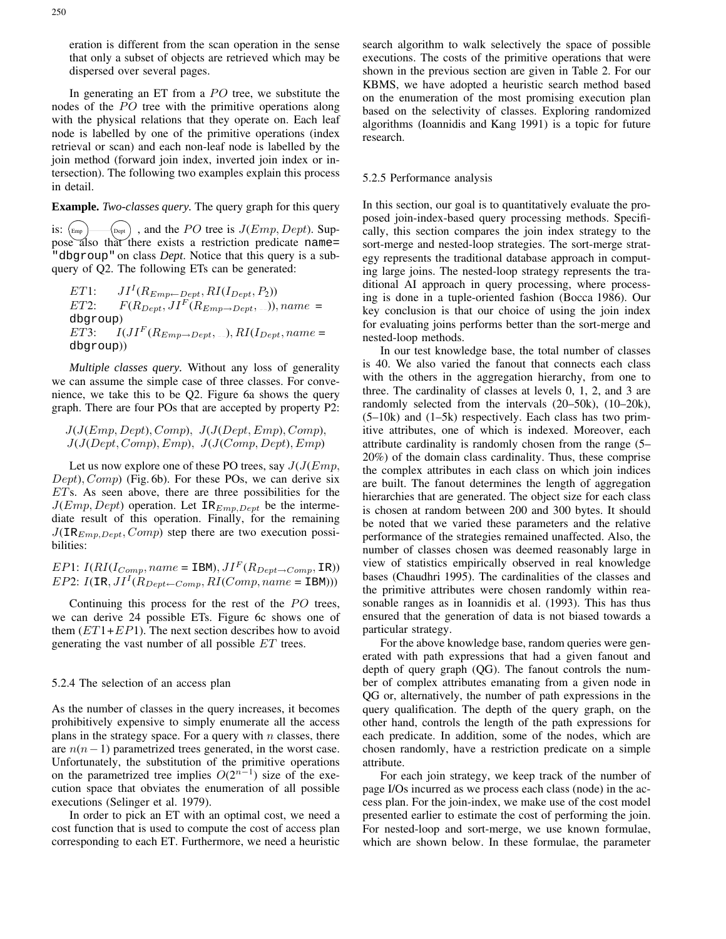eration is different from the scan operation in the sense that only a subset of objects are retrieved which may be dispersed over several pages.

In generating an ET from a PO tree, we substitute the nodes of the *PO* tree with the primitive operations along with the physical relations that they operate on. Each leaf node is labelled by one of the primitive operations (index retrieval or scan) and each non-leaf node is labelled by the join method (forward join index, inverted join index or intersection). The following two examples explain this process in detail.

**Example.** *Two-classes query.* The query graph for this query

is: e also t  $\binom{2}{\text{Emp}}$ nat there  $\binom{D_{\text{opt}}}{}$  , and the *PO* tree is *J*(*Emp*, *Dept*). Suppose also that there exists a restriction predicate name= "dbgroup" on class *Dept*. Notice that this query is a subquery of Q2. The following ETs can be generated:

*ET*1:  $JI^I(R_{Emp \leftarrow Dept}, RI(I_{Depth}, P_2))$ <br>*ET*2:  $F(R_{Depth}, JI^F(R_{Emp \rightarrow Dent}, P_2))$  $F(R_{Depth}, JIF(R_{Emp\rightarrow Dept}, ...)$ , *name* = dbgroup)  $E\overline{T}$ 3:  $I(JI<sup>F</sup>(R<sub>Emp\rightarrow Dept</sub>, ...)$ ,  $RI(I<sub>Det</sub>, name =$ dbgroup))

*Multiple classes query.* Without any loss of generality we can assume the simple case of three classes. For convenience, we take this to be Q2. Figure 6a shows the query graph. There are four POs that are accepted by property P2:

*J*(*J*(*Emp, Dept*)*, Comp*)*, J*(*J*(*Dept, Emp*)*, Comp*)*, J*(*J*(*Dept, Comp*)*, Emp*)*, J*(*J*(*Comp, Dept*)*, Emp*)

Let us now explore one of these PO trees, say *J*(*J*(*Emp, Dept*)*, Comp*) (Fig. 6b). For these POs, we can derive six *ET*s. As seen above, there are three possibilities for the  $J(Emp, Dept)$  operation. Let  $IR_{Emp, Dept}$  be the intermediate result of this operation. Finally, for the remaining *J*(IR*Emp,Dept, Comp*) step there are two execution possibilities:

 $EPI: I(RI(I_{Comp}, name = IBM), JI<sup>F</sup>(R_{Depth} \rightarrow Comp, IR))$  $E P2: I(\text{IR}, J I^I(R_{Dept} \leftarrow Comp, RI(Comp, name = \text{IBM})))$ 

Continuing this process for the rest of the *PO* trees, we can derive 24 possible ETs. Figure 6c shows one of them (*ET*1+*EP*1). The next section describes how to avoid generating the vast number of all possible *ET* trees.

5.2.4 The selection of an access plan

As the number of classes in the query increases, it becomes prohibitively expensive to simply enumerate all the access plans in the strategy space. For a query with *n* classes, there are  $n(n-1)$  parametrized trees generated, in the worst case. Unfortunately, the substitution of the primitive operations on the parametrized tree implies  $O(2^{n-1})$  size of the execution space that obviates the enumeration of all possible executions (Selinger et al. 1979).

In order to pick an ET with an optimal cost, we need a cost function that is used to compute the cost of access plan corresponding to each ET. Furthermore, we need a heuristic

search algorithm to walk selectively the space of possible executions. The costs of the primitive operations that were shown in the previous section are given in Table 2. For our KBMS, we have adopted a heuristic search method based on the enumeration of the most promising execution plan based on the selectivity of classes. Exploring randomized algorithms (Ioannidis and Kang 1991) is a topic for future research.

#### 5.2.5 Performance analysis

In this section, our goal is to quantitatively evaluate the proposed join-index-based query processing methods. Specifically, this section compares the join index strategy to the sort-merge and nested-loop strategies. The sort-merge strategy represents the traditional database approach in computing large joins. The nested-loop strategy represents the traditional AI approach in query processing, where processing is done in a tuple-oriented fashion (Bocca 1986). Our key conclusion is that our choice of using the join index for evaluating joins performs better than the sort-merge and nested-loop methods.

In our test knowledge base, the total number of classes is 40. We also varied the fanout that connects each class with the others in the aggregation hierarchy, from one to three. The cardinality of classes at levels 0, 1, 2, and 3 are randomly selected from the intervals (20–50k), (10–20k), (5–10k) and (1–5k) respectively. Each class has two primitive attributes, one of which is indexed. Moreover, each attribute cardinality is randomly chosen from the range (5– 20%) of the domain class cardinality. Thus, these comprise the complex attributes in each class on which join indices are built. The fanout determines the length of aggregation hierarchies that are generated. The object size for each class is chosen at random between 200 and 300 bytes. It should be noted that we varied these parameters and the relative performance of the strategies remained unaffected. Also, the number of classes chosen was deemed reasonably large in view of statistics empirically observed in real knowledge bases (Chaudhri 1995). The cardinalities of the classes and the primitive attributes were chosen randomly within reasonable ranges as in Ioannidis et al. (1993). This has thus ensured that the generation of data is not biased towards a particular strategy.

For the above knowledge base, random queries were generated with path expressions that had a given fanout and depth of query graph (QG). The fanout controls the number of complex attributes emanating from a given node in QG or, alternatively, the number of path expressions in the query qualification. The depth of the query graph, on the other hand, controls the length of the path expressions for each predicate. In addition, some of the nodes, which are chosen randomly, have a restriction predicate on a simple attribute.

For each join strategy, we keep track of the number of page I/Os incurred as we process each class (node) in the access plan. For the join-index, we make use of the cost model presented earlier to estimate the cost of performing the join. For nested-loop and sort-merge, we use known formulae, which are shown below. In these formulae, the parameter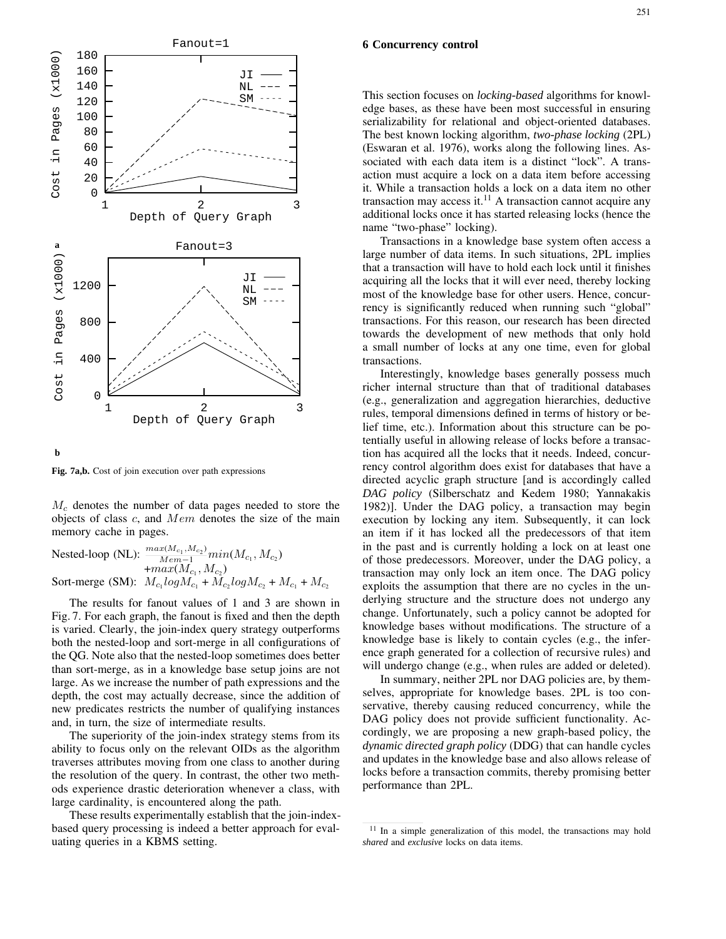



**Fig. 7a,b.** Cost of join execution over path expressions

*M<sup>c</sup>* denotes the number of data pages needed to store the objects of class *c*, and *Mem* denotes the size of the main memory cache in pages.

 $N$ ested-loop (NL):  $\frac{max(M_{c_1}, M_{c_2})}{Mem_{-1}} min(M_{c_1}, M_{c_2})$  $+max(M_{c_1}, M_{c_2})$ Sort-merge (SM):  $M_{c_1} log M_{c_1} + M_{c_2} log M_{c_2} + M_{c_1} + M_{c_2}$ 

The results for fanout values of 1 and 3 are shown in Fig. 7. For each graph, the fanout is fixed and then the depth is varied. Clearly, the join-index query strategy outperforms both the nested-loop and sort-merge in all configurations of the QG. Note also that the nested-loop sometimes does better than sort-merge, as in a knowledge base setup joins are not large. As we increase the number of path expressions and the depth, the cost may actually decrease, since the addition of new predicates restricts the number of qualifying instances and, in turn, the size of intermediate results.

The superiority of the join-index strategy stems from its ability to focus only on the relevant OIDs as the algorithm traverses attributes moving from one class to another during the resolution of the query. In contrast, the other two methods experience drastic deterioration whenever a class, with large cardinality, is encountered along the path.

These results experimentally establish that the join-indexbased query processing is indeed a better approach for evaluating queries in a KBMS setting.

## **6 Concurrency control**

This section focuses on *locking-based* algorithms for knowledge bases, as these have been most successful in ensuring serializability for relational and object-oriented databases. The best known locking algorithm, *two-phase locking* (2PL) (Eswaran et al. 1976), works along the following lines. Associated with each data item is a distinct "lock". A transaction must acquire a lock on a data item before accessing it. While a transaction holds a lock on a data item no other transaction may access it. $<sup>11</sup>$  A transaction cannot acquire any</sup> additional locks once it has started releasing locks (hence the name "two-phase" locking).

Transactions in a knowledge base system often access a large number of data items. In such situations, 2PL implies that a transaction will have to hold each lock until it finishes acquiring all the locks that it will ever need, thereby locking most of the knowledge base for other users. Hence, concurrency is significantly reduced when running such "global" transactions. For this reason, our research has been directed towards the development of new methods that only hold a small number of locks at any one time, even for global transactions.

Interestingly, knowledge bases generally possess much richer internal structure than that of traditional databases (e.g., generalization and aggregation hierarchies, deductive rules, temporal dimensions defined in terms of history or belief time, etc.). Information about this structure can be potentially useful in allowing release of locks before a transaction has acquired all the locks that it needs. Indeed, concurrency control algorithm does exist for databases that have a directed acyclic graph structure [and is accordingly called *DAG policy* (Silberschatz and Kedem 1980; Yannakakis 1982)]. Under the DAG policy, a transaction may begin execution by locking any item. Subsequently, it can lock an item if it has locked all the predecessors of that item in the past and is currently holding a lock on at least one of those predecessors. Moreover, under the DAG policy, a transaction may only lock an item once. The DAG policy exploits the assumption that there are no cycles in the underlying structure and the structure does not undergo any change. Unfortunately, such a policy cannot be adopted for knowledge bases without modifications. The structure of a knowledge base is likely to contain cycles (e.g., the inference graph generated for a collection of recursive rules) and will undergo change (e.g., when rules are added or deleted).

In summary, neither 2PL nor DAG policies are, by themselves, appropriate for knowledge bases. 2PL is too conservative, thereby causing reduced concurrency, while the DAG policy does not provide sufficient functionality. Accordingly, we are proposing a new graph-based policy, the *dynamic directed graph policy* (DDG) that can handle cycles and updates in the knowledge base and also allows release of locks before a transaction commits, thereby promising better performance than 2PL.

<sup>&</sup>lt;sup>11</sup> In a simple generalization of this model, the transactions may hold *shared* and *exclusive* locks on data items.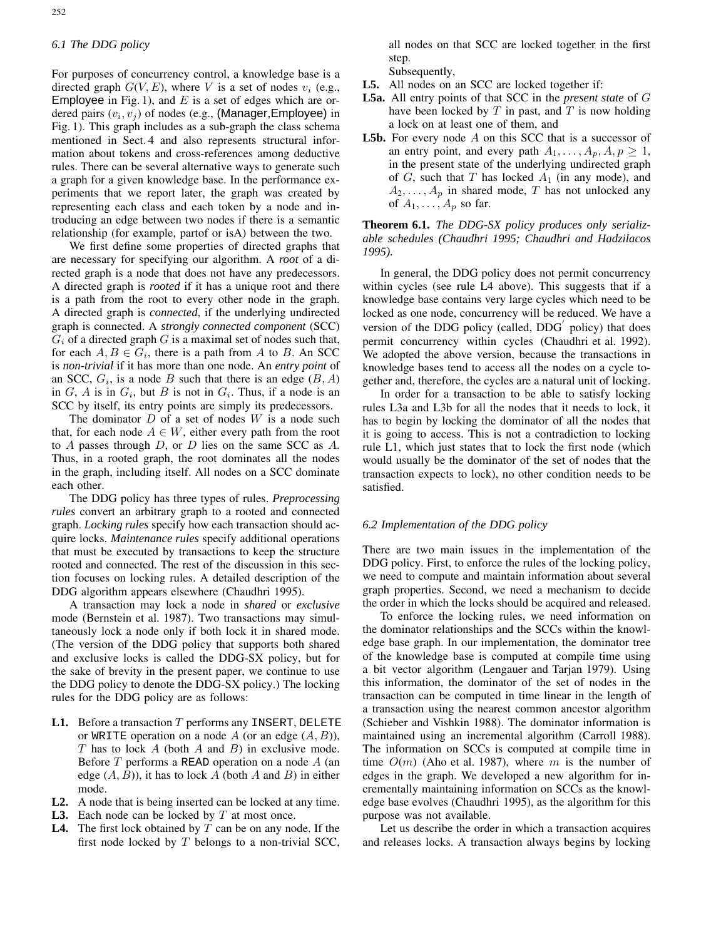# *6.1 The DDG policy*

For purposes of concurrency control, a knowledge base is a directed graph  $G(V, E)$ , where V is a set of nodes  $v_i$  (e.g., Employee in Fig. 1), and *E* is a set of edges which are ordered pairs (*vi, v<sup>j</sup>* ) of nodes (e.g., (Manager,Employee) in Fig. 1). This graph includes as a sub-graph the class schema mentioned in Sect. 4 and also represents structural information about tokens and cross-references among deductive rules. There can be several alternative ways to generate such a graph for a given knowledge base. In the performance experiments that we report later, the graph was created by representing each class and each token by a node and introducing an edge between two nodes if there is a semantic relationship (for example, partof or isA) between the two.

We first define some properties of directed graphs that are necessary for specifying our algorithm. A *root* of a directed graph is a node that does not have any predecessors. A directed graph is *rooted* if it has a unique root and there is a path from the root to every other node in the graph. A directed graph is *connected*, if the underlying undirected graph is connected. A *strongly connected component* (SCC)  $G_i$  of a directed graph  $G$  is a maximal set of nodes such that, for each  $A, B \in G_i$ , there is a path from A to B. An SCC is *non-trivial* if it has more than one node. An *entry point* of an SCC,  $G_i$ , is a node *B* such that there is an edge  $(B, A)$ in  $G$ ,  $A$  is in  $G$ <sup>*i*</sup>, but  $B$  is not in  $G$ <sup>*i*</sup>. Thus, if a node is an SCC by itself, its entry points are simply its predecessors.

The dominator *D* of a set of nodes *W* is a node such that, for each node  $A \in W$ , either every path from the root to *A* passes through *D*, or *D* lies on the same SCC as *A*. Thus, in a rooted graph, the root dominates all the nodes in the graph, including itself. All nodes on a SCC dominate each other.

The DDG policy has three types of rules. *Preprocessing rules* convert an arbitrary graph to a rooted and connected graph. *Locking rules* specify how each transaction should acquire locks. *Maintenance rules* specify additional operations that must be executed by transactions to keep the structure rooted and connected. The rest of the discussion in this section focuses on locking rules. A detailed description of the DDG algorithm appears elsewhere (Chaudhri 1995).

A transaction may lock a node in *shared* or *exclusive* mode (Bernstein et al. 1987). Two transactions may simultaneously lock a node only if both lock it in shared mode. (The version of the DDG policy that supports both shared and exclusive locks is called the DDG-SX policy, but for the sake of brevity in the present paper, we continue to use the DDG policy to denote the DDG-SX policy.) The locking rules for the DDG policy are as follows:

- **L1.** Before a transaction *T* performs any INSERT, DELETE or WRITE operation on a node *A* (or an edge (*A, B*)), *T* has to lock *A* (both *A* and *B*) in exclusive mode. Before *T* performs a READ operation on a node *A* (an edge (*A, B*)), it has to lock *A* (both *A* and *B*) in either mode.
- **L2.** A node that is being inserted can be locked at any time.
- **L3.** Each node can be locked by *T* at most once.
- **L4.** The first lock obtained by *T* can be on any node. If the first node locked by *T* belongs to a non-trivial SCC,

all nodes on that SCC are locked together in the first step.

Subsequently,

- **L5.** All nodes on an SCC are locked together if:
- **L5a.** All entry points of that SCC in the *present state* of *G* have been locked by *T* in past, and *T* is now holding a lock on at least one of them, and
- **L5b.** For every node *A* on this SCC that is a successor of an entry point, and every path  $A_1, \ldots, A_p, A, p \ge 1$ , in the present state of the underlying undirected graph of *G*, such that *T* has locked *A*<sup>1</sup> (in any mode), and  $A_2, \ldots, A_p$  in shared mode, *T* has not unlocked any of  $A_1, \ldots, A_p$  so far.

**Theorem 6.1.** *The DDG-SX policy produces only serializable schedules (Chaudhri 1995; Chaudhri and Hadzilacos 1995).*

In general, the DDG policy does not permit concurrency within cycles (see rule L4 above). This suggests that if a knowledge base contains very large cycles which need to be locked as one node, concurrency will be reduced. We have a version of the DDG policy (called,  $DDG'$  policy) that does permit concurrency within cycles (Chaudhri et al. 1992). We adopted the above version, because the transactions in knowledge bases tend to access all the nodes on a cycle together and, therefore, the cycles are a natural unit of locking.

In order for a transaction to be able to satisfy locking rules L3a and L3b for all the nodes that it needs to lock, it has to begin by locking the dominator of all the nodes that it is going to access. This is not a contradiction to locking rule L1, which just states that to lock the first node (which would usually be the dominator of the set of nodes that the transaction expects to lock), no other condition needs to be satisfied.

### *6.2 Implementation of the DDG policy*

There are two main issues in the implementation of the DDG policy. First, to enforce the rules of the locking policy, we need to compute and maintain information about several graph properties. Second, we need a mechanism to decide the order in which the locks should be acquired and released.

To enforce the locking rules, we need information on the dominator relationships and the SCCs within the knowledge base graph. In our implementation, the dominator tree of the knowledge base is computed at compile time using a bit vector algorithm (Lengauer and Tarjan 1979). Using this information, the dominator of the set of nodes in the transaction can be computed in time linear in the length of a transaction using the nearest common ancestor algorithm (Schieber and Vishkin 1988). The dominator information is maintained using an incremental algorithm (Carroll 1988). The information on SCCs is computed at compile time in time *O*(*m*) (Aho et al. 1987), where *m* is the number of edges in the graph. We developed a new algorithm for incrementally maintaining information on SCCs as the knowledge base evolves (Chaudhri 1995), as the algorithm for this purpose was not available.

Let us describe the order in which a transaction acquires and releases locks. A transaction always begins by locking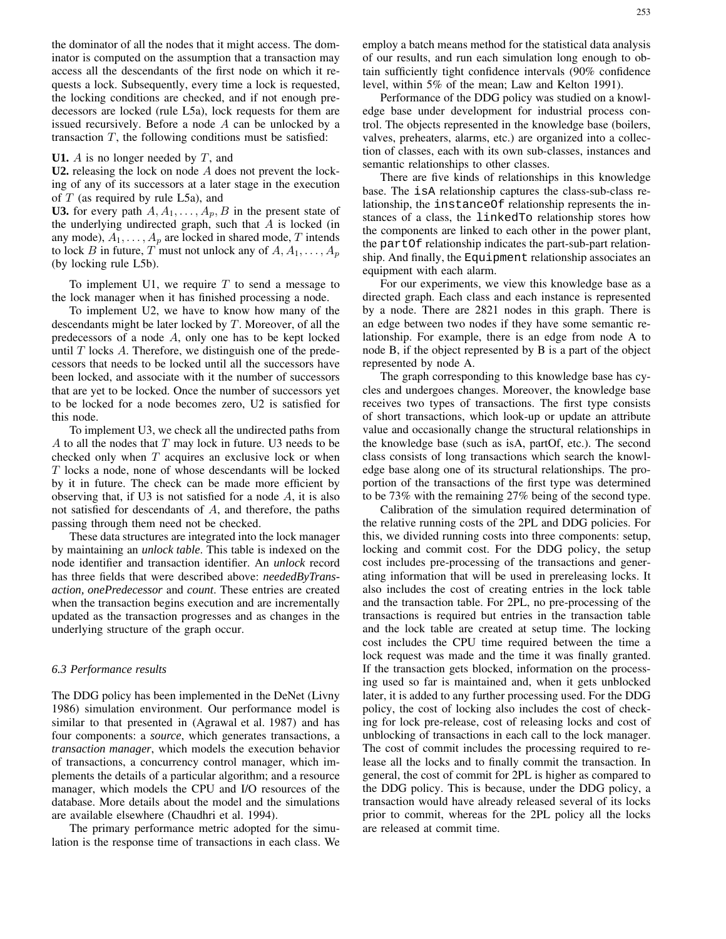the dominator of all the nodes that it might access. The dominator is computed on the assumption that a transaction may access all the descendants of the first node on which it requests a lock. Subsequently, every time a lock is requested, the locking conditions are checked, and if not enough predecessors are locked (rule L5a), lock requests for them are issued recursively. Before a node *A* can be unlocked by a transaction *T*, the following conditions must be satisfied:

#### **U1.** *A* is no longer needed by *T*, and

**U2.** releasing the lock on node *A* does not prevent the locking of any of its successors at a later stage in the execution of *T* (as required by rule L5a), and

**U3.** for every path  $A, A_1, \ldots, A_p, B$  in the present state of the underlying undirected graph, such that *A* is locked (in any mode),  $A_1, \ldots, A_p$  are locked in shared mode, *T* intends to lock *B* in future, *T* must not unlock any of  $A, A_1, \ldots, A_p$ (by locking rule L5b).

To implement U1, we require *T* to send a message to the lock manager when it has finished processing a node.

To implement U2, we have to know how many of the descendants might be later locked by *T*. Moreover, of all the predecessors of a node *A*, only one has to be kept locked until *T* locks *A*. Therefore, we distinguish one of the predecessors that needs to be locked until all the successors have been locked, and associate with it the number of successors that are yet to be locked. Once the number of successors yet to be locked for a node becomes zero, U2 is satisfied for this node.

To implement U3, we check all the undirected paths from *A* to all the nodes that *T* may lock in future. U3 needs to be checked only when *T* acquires an exclusive lock or when *T* locks a node, none of whose descendants will be locked by it in future. The check can be made more efficient by observing that, if U3 is not satisfied for a node *A*, it is also not satisfied for descendants of *A*, and therefore, the paths passing through them need not be checked.

These data structures are integrated into the lock manager by maintaining an *unlock table*. This table is indexed on the node identifier and transaction identifier. An *unlock* record has three fields that were described above: *neededByTransaction, onePredecessor* and *count*. These entries are created when the transaction begins execution and are incrementally updated as the transaction progresses and as changes in the underlying structure of the graph occur.

## *6.3 Performance results*

The DDG policy has been implemented in the DeNet (Livny 1986) simulation environment. Our performance model is similar to that presented in (Agrawal et al. 1987) and has four components: a *source*, which generates transactions, a *transaction manager*, which models the execution behavior of transactions, a concurrency control manager, which implements the details of a particular algorithm; and a resource manager, which models the CPU and I/O resources of the database. More details about the model and the simulations are available elsewhere (Chaudhri et al. 1994).

The primary performance metric adopted for the simulation is the response time of transactions in each class. We

Performance of the DDG policy was studied on a knowledge base under development for industrial process control. The objects represented in the knowledge base (boilers, valves, preheaters, alarms, etc.) are organized into a collection of classes, each with its own sub-classes, instances and semantic relationships to other classes.

There are five kinds of relationships in this knowledge base. The isA relationship captures the class-sub-class relationship, the instanceOf relationship represents the instances of a class, the linkedTo relationship stores how the components are linked to each other in the power plant, the partOf relationship indicates the part-sub-part relationship. And finally, the Equipment relationship associates an equipment with each alarm.

For our experiments, we view this knowledge base as a directed graph. Each class and each instance is represented by a node. There are 2821 nodes in this graph. There is an edge between two nodes if they have some semantic relationship. For example, there is an edge from node A to node B, if the object represented by B is a part of the object represented by node A.

The graph corresponding to this knowledge base has cycles and undergoes changes. Moreover, the knowledge base receives two types of transactions. The first type consists of short transactions, which look-up or update an attribute value and occasionally change the structural relationships in the knowledge base (such as isA, partOf, etc.). The second class consists of long transactions which search the knowledge base along one of its structural relationships. The proportion of the transactions of the first type was determined to be 73% with the remaining 27% being of the second type.

Calibration of the simulation required determination of the relative running costs of the 2PL and DDG policies. For this, we divided running costs into three components: setup, locking and commit cost. For the DDG policy, the setup cost includes pre-processing of the transactions and generating information that will be used in prereleasing locks. It also includes the cost of creating entries in the lock table and the transaction table. For 2PL, no pre-processing of the transactions is required but entries in the transaction table and the lock table are created at setup time. The locking cost includes the CPU time required between the time a lock request was made and the time it was finally granted. If the transaction gets blocked, information on the processing used so far is maintained and, when it gets unblocked later, it is added to any further processing used. For the DDG policy, the cost of locking also includes the cost of checking for lock pre-release, cost of releasing locks and cost of unblocking of transactions in each call to the lock manager. The cost of commit includes the processing required to release all the locks and to finally commit the transaction. In general, the cost of commit for 2PL is higher as compared to the DDG policy. This is because, under the DDG policy, a transaction would have already released several of its locks prior to commit, whereas for the 2PL policy all the locks are released at commit time.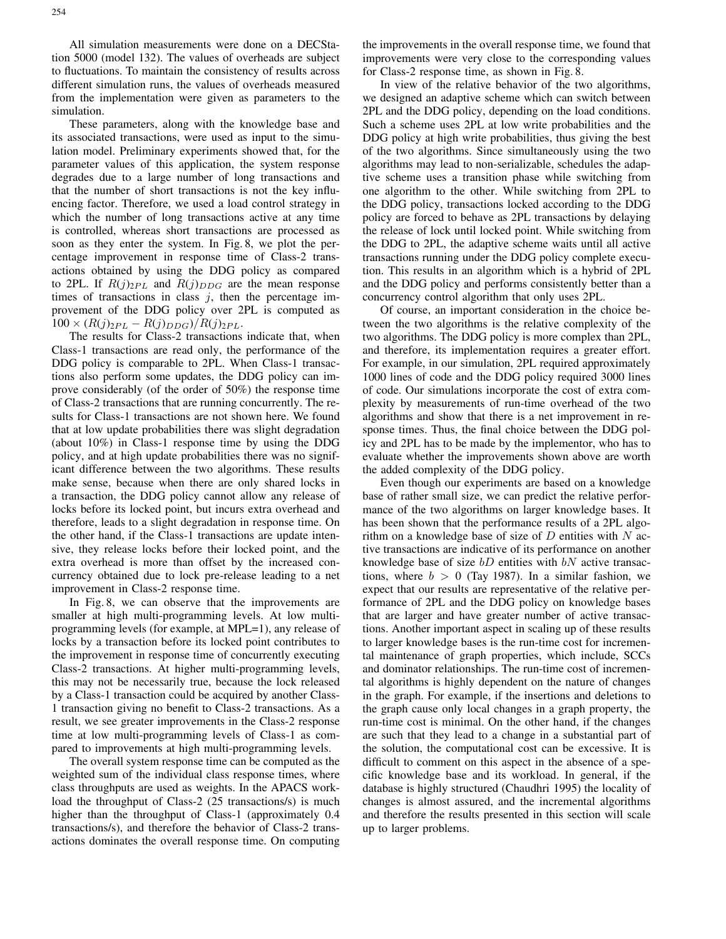All simulation measurements were done on a DECStation 5000 (model 132). The values of overheads are subject to fluctuations. To maintain the consistency of results across different simulation runs, the values of overheads measured from the implementation were given as parameters to the simulation.

These parameters, along with the knowledge base and its associated transactions, were used as input to the simulation model. Preliminary experiments showed that, for the parameter values of this application, the system response degrades due to a large number of long transactions and that the number of short transactions is not the key influencing factor. Therefore, we used a load control strategy in which the number of long transactions active at any time is controlled, whereas short transactions are processed as soon as they enter the system. In Fig. 8, we plot the percentage improvement in response time of Class-2 transactions obtained by using the DDG policy as compared to 2PL. If  $R(j)_{2PL}$  and  $R(j)_{DDG}$  are the mean response times of transactions in class  $j$ , then the percentage improvement of the DDG policy over 2PL is computed as  $100 \times (R(j)_{2PL} - R(j)_{DDG})/R(j)_{2PL}.$ 

The results for Class-2 transactions indicate that, when Class-1 transactions are read only, the performance of the DDG policy is comparable to 2PL. When Class-1 transactions also perform some updates, the DDG policy can improve considerably (of the order of 50%) the response time of Class-2 transactions that are running concurrently. The results for Class-1 transactions are not shown here. We found that at low update probabilities there was slight degradation (about 10%) in Class-1 response time by using the DDG policy, and at high update probabilities there was no significant difference between the two algorithms. These results make sense, because when there are only shared locks in a transaction, the DDG policy cannot allow any release of locks before its locked point, but incurs extra overhead and therefore, leads to a slight degradation in response time. On the other hand, if the Class-1 transactions are update intensive, they release locks before their locked point, and the extra overhead is more than offset by the increased concurrency obtained due to lock pre-release leading to a net improvement in Class-2 response time.

In Fig. 8, we can observe that the improvements are smaller at high multi-programming levels. At low multiprogramming levels (for example, at MPL=1), any release of locks by a transaction before its locked point contributes to the improvement in response time of concurrently executing Class-2 transactions. At higher multi-programming levels, this may not be necessarily true, because the lock released by a Class-1 transaction could be acquired by another Class-1 transaction giving no benefit to Class-2 transactions. As a result, we see greater improvements in the Class-2 response time at low multi-programming levels of Class-1 as compared to improvements at high multi-programming levels.

The overall system response time can be computed as the weighted sum of the individual class response times, where class throughputs are used as weights. In the APACS workload the throughput of Class-2 (25 transactions/s) is much higher than the throughput of Class-1 (approximately 0.4 transactions/s), and therefore the behavior of Class-2 transactions dominates the overall response time. On computing

the improvements in the overall response time, we found that improvements were very close to the corresponding values for Class-2 response time, as shown in Fig. 8.

In view of the relative behavior of the two algorithms, we designed an adaptive scheme which can switch between 2PL and the DDG policy, depending on the load conditions. Such a scheme uses 2PL at low write probabilities and the DDG policy at high write probabilities, thus giving the best of the two algorithms. Since simultaneously using the two algorithms may lead to non-serializable, schedules the adaptive scheme uses a transition phase while switching from one algorithm to the other. While switching from 2PL to the DDG policy, transactions locked according to the DDG policy are forced to behave as 2PL transactions by delaying the release of lock until locked point. While switching from the DDG to 2PL, the adaptive scheme waits until all active transactions running under the DDG policy complete execution. This results in an algorithm which is a hybrid of 2PL and the DDG policy and performs consistently better than a concurrency control algorithm that only uses 2PL.

Of course, an important consideration in the choice between the two algorithms is the relative complexity of the two algorithms. The DDG policy is more complex than 2PL, and therefore, its implementation requires a greater effort. For example, in our simulation, 2PL required approximately 1000 lines of code and the DDG policy required 3000 lines of code. Our simulations incorporate the cost of extra complexity by measurements of run-time overhead of the two algorithms and show that there is a net improvement in response times. Thus, the final choice between the DDG policy and 2PL has to be made by the implementor, who has to evaluate whether the improvements shown above are worth the added complexity of the DDG policy.

Even though our experiments are based on a knowledge base of rather small size, we can predict the relative performance of the two algorithms on larger knowledge bases. It has been shown that the performance results of a 2PL algorithm on a knowledge base of size of *D* entities with *N* active transactions are indicative of its performance on another knowledge base of size *bD* entities with *bN* active transactions, where  $b > 0$  (Tay 1987). In a similar fashion, we expect that our results are representative of the relative performance of 2PL and the DDG policy on knowledge bases that are larger and have greater number of active transactions. Another important aspect in scaling up of these results to larger knowledge bases is the run-time cost for incremental maintenance of graph properties, which include, SCCs and dominator relationships. The run-time cost of incremental algorithms is highly dependent on the nature of changes in the graph. For example, if the insertions and deletions to the graph cause only local changes in a graph property, the run-time cost is minimal. On the other hand, if the changes are such that they lead to a change in a substantial part of the solution, the computational cost can be excessive. It is difficult to comment on this aspect in the absence of a specific knowledge base and its workload. In general, if the database is highly structured (Chaudhri 1995) the locality of changes is almost assured, and the incremental algorithms and therefore the results presented in this section will scale up to larger problems.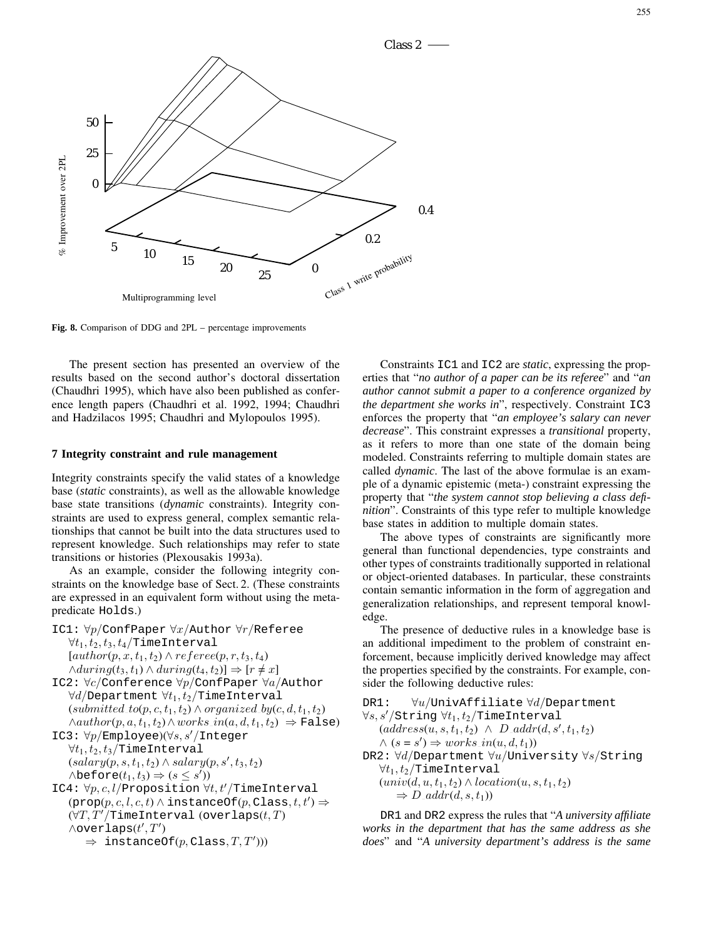

**Fig. 8.** Comparison of DDG and 2PL – percentage improvements

The present section has presented an overview of the results based on the second author's doctoral dissertation (Chaudhri 1995), which have also been published as conference length papers (Chaudhri et al. 1992, 1994; Chaudhri and Hadzilacos 1995; Chaudhri and Mylopoulos 1995).

#### **7 Integrity constraint and rule management**

Integrity constraints specify the valid states of a knowledge base (*static* constraints), as well as the allowable knowledge base state transitions (*dynamic* constraints). Integrity constraints are used to express general, complex semantic relationships that cannot be built into the data structures used to represent knowledge. Such relationships may refer to state transitions or histories (Plexousakis 1993a).

As an example, consider the following integrity constraints on the knowledge base of Sect. 2. (These constraints are expressed in an equivalent form without using the metapredicate Holds.)

```
IC1: ∀p/ConfPaper ∀x/Author ∀r/Referee
    ∀t1, t2, t3, t4/TimeInterval
    [author(p, x, t_1, t_2) \wedge reference(p, r, t_3, t_4)]\landduring(t<sub>3</sub>, t<sub>1</sub>) \land during(t<sub>4</sub>, t<sub>2</sub>)] \Rightarrow [r \neq x]
IC2: ∀c/Conference ∀p/ConfPaper ∀a/Author
    ∀d/Department ∀t1, t2/TimeInterval
    (submitted_to(p, c, t_1, t_2) \wedge organized_by(c, d, t_1, t_2)\land \alphauthor(p, a, t_1, t_2) \land \text{works}\_in(a, d, t_1, t_2) \Rightarrow \text{False}IC3: ∀p/Employee)(∀s, s0
/Integer
    ∀t1, t2, t3/TimeInterval
    (salary(p, s, t_1, t_2) \wedge salary(p, s', t_3, t_2)\wedgebefore(t_1, t_3) \Rightarrow (s \leq s')IC4: ∀p, c, l/Proposition ∀t, t0
/TimeInterval
    (prop(p, c, l, c, t) ∧ instanceOf(p, Class, t, t0
) ⇒
```

```
(∀T,T0
/TimeInterval (overlaps(t, T)
∧overlaps(t
0
, T0
)
```

```
\Rightarrow instanceOf(p,Class,T, T'(0))
```
Constraints IC1 and IC2 are *static*, expressing the properties that "*no author of a paper can be its referee*" and "*an author cannot submit a paper to a conference organized by the department she works in*", respectively. Constraint IC3 enforces the property that "*an employee's salary can never decrease*". This constraint expresses a *transitional* property, as it refers to more than one state of the domain being modeled. Constraints referring to multiple domain states are called *dynamic*. The last of the above formulae is an example of a dynamic epistemic (meta-) constraint expressing the property that "*the system cannot stop believing a class definition*". Constraints of this type refer to multiple knowledge base states in addition to multiple domain states.

The above types of constraints are significantly more general than functional dependencies, type constraints and other types of constraints traditionally supported in relational or object-oriented databases. In particular, these constraints contain semantic information in the form of aggregation and generalization relationships, and represent temporal knowledge.

The presence of deductive rules in a knowledge base is an additional impediment to the problem of constraint enforcement, because implicitly derived knowledge may affect the properties specified by the constraints. For example, consider the following deductive rules:

DR1: *∀u/*UnivAffiliate *∀d/*Department *∀s, s<sup>0</sup> /*String *∀t*1*, t*2*/*TimeInterval  $(address(u, s, t_1, t_2) \land D\_addr(d, s', t_1, t_2)$  $\land$   $(s = s') \Rightarrow works\_in(u, d, t_1)$ DR2: *∀d/*Department *∀u/*University *∀s/*String *∀t*1*, t*2*/*TimeInterval  $(univ(d, u, t_1, t_2) \wedge location(u, s, t_1, t_2))$  $\Rightarrow$  *D\_addr*(*d*, *s*, *t*<sub>1</sub>))

DR1 and DR2 express the rules that "*A university affiliate works in the department that has the same address as she does*" and "*A university department's address is the same*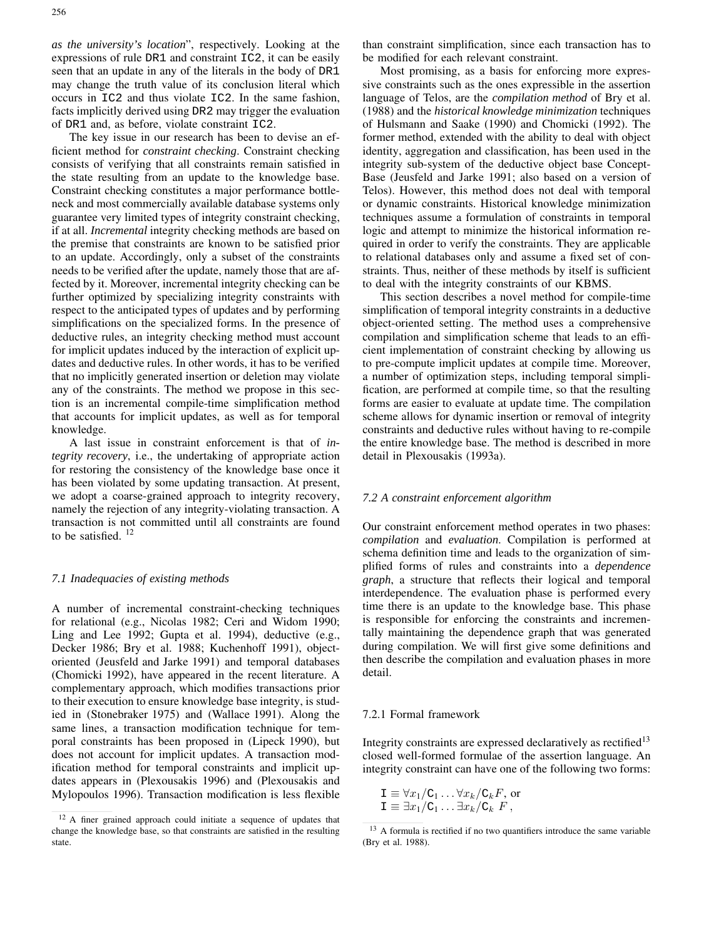*as the university's location*", respectively. Looking at the expressions of rule DR1 and constraint IC2, it can be easily seen that an update in any of the literals in the body of DR1 may change the truth value of its conclusion literal which occurs in IC2 and thus violate IC2. In the same fashion, facts implicitly derived using DR2 may trigger the evaluation of DR1 and, as before, violate constraint IC2.

The key issue in our research has been to devise an efficient method for *constraint checking*. Constraint checking consists of verifying that all constraints remain satisfied in the state resulting from an update to the knowledge base. Constraint checking constitutes a major performance bottleneck and most commercially available database systems only guarantee very limited types of integrity constraint checking, if at all. *Incremental* integrity checking methods are based on the premise that constraints are known to be satisfied prior to an update. Accordingly, only a subset of the constraints needs to be verified after the update, namely those that are affected by it. Moreover, incremental integrity checking can be further optimized by specializing integrity constraints with respect to the anticipated types of updates and by performing simplifications on the specialized forms. In the presence of deductive rules, an integrity checking method must account for implicit updates induced by the interaction of explicit updates and deductive rules. In other words, it has to be verified that no implicitly generated insertion or deletion may violate any of the constraints. The method we propose in this section is an incremental compile-time simplification method that accounts for implicit updates, as well as for temporal knowledge.

A last issue in constraint enforcement is that of *integrity recovery*, i.e., the undertaking of appropriate action for restoring the consistency of the knowledge base once it has been violated by some updating transaction. At present, we adopt a coarse-grained approach to integrity recovery, namely the rejection of any integrity-violating transaction. A transaction is not committed until all constraints are found to be satisfied.<sup>12</sup>

# *7.1 Inadequacies of existing methods*

A number of incremental constraint-checking techniques for relational (e.g., Nicolas 1982; Ceri and Widom 1990; Ling and Lee 1992; Gupta et al. 1994), deductive (e.g., Decker 1986; Bry et al. 1988; Kuchenhoff 1991), objectoriented (Jeusfeld and Jarke 1991) and temporal databases (Chomicki 1992), have appeared in the recent literature. A complementary approach, which modifies transactions prior to their execution to ensure knowledge base integrity, is studied in (Stonebraker 1975) and (Wallace 1991). Along the same lines, a transaction modification technique for temporal constraints has been proposed in (Lipeck 1990), but does not account for implicit updates. A transaction modification method for temporal constraints and implicit updates appears in (Plexousakis 1996) and (Plexousakis and Mylopoulos 1996). Transaction modification is less flexible

than constraint simplification, since each transaction has to be modified for each relevant constraint.

Most promising, as a basis for enforcing more expressive constraints such as the ones expressible in the assertion language of Telos, are the *compilation method* of Bry et al. (1988) and the *historical knowledge minimization* techniques of Hulsmann and Saake (1990) and Chomicki (1992). The former method, extended with the ability to deal with object identity, aggregation and classification, has been used in the integrity sub-system of the deductive object base Concept-Base (Jeusfeld and Jarke 1991; also based on a version of Telos). However, this method does not deal with temporal or dynamic constraints. Historical knowledge minimization techniques assume a formulation of constraints in temporal logic and attempt to minimize the historical information required in order to verify the constraints. They are applicable to relational databases only and assume a fixed set of constraints. Thus, neither of these methods by itself is sufficient to deal with the integrity constraints of our KBMS.

This section describes a novel method for compile-time simplification of temporal integrity constraints in a deductive object-oriented setting. The method uses a comprehensive compilation and simplification scheme that leads to an efficient implementation of constraint checking by allowing us to pre-compute implicit updates at compile time. Moreover, a number of optimization steps, including temporal simplification, are performed at compile time, so that the resulting forms are easier to evaluate at update time. The compilation scheme allows for dynamic insertion or removal of integrity constraints and deductive rules without having to re-compile the entire knowledge base. The method is described in more detail in Plexousakis (1993a).

### *7.2 A constraint enforcement algorithm*

Our constraint enforcement method operates in two phases: *compilation* and *evaluation*. Compilation is performed at schema definition time and leads to the organization of simplified forms of rules and constraints into a *dependence graph*, a structure that reflects their logical and temporal interdependence. The evaluation phase is performed every time there is an update to the knowledge base. This phase is responsible for enforcing the constraints and incrementally maintaining the dependence graph that was generated during compilation. We will first give some definitions and then describe the compilation and evaluation phases in more detail.

### 7.2.1 Formal framework

Integrity constraints are expressed declaratively as rectified<sup>13</sup> closed well-formed formulae of the assertion language. An integrity constraint can have one of the following two forms:

$$
\mathbf{I} \equiv \forall x_1/C_1 \dots \forall x_k/C_k F, \text{ or } \mathbf{I} \equiv \exists x_1/C_1 \dots \exists x_k/C_k F,
$$

<sup>&</sup>lt;sup>12</sup> A finer grained approach could initiate a sequence of updates that change the knowledge base, so that constraints are satisfied in the resulting state.

<sup>&</sup>lt;sup>13</sup> A formula is rectified if no two quantifiers introduce the same variable (Bry et al. 1988).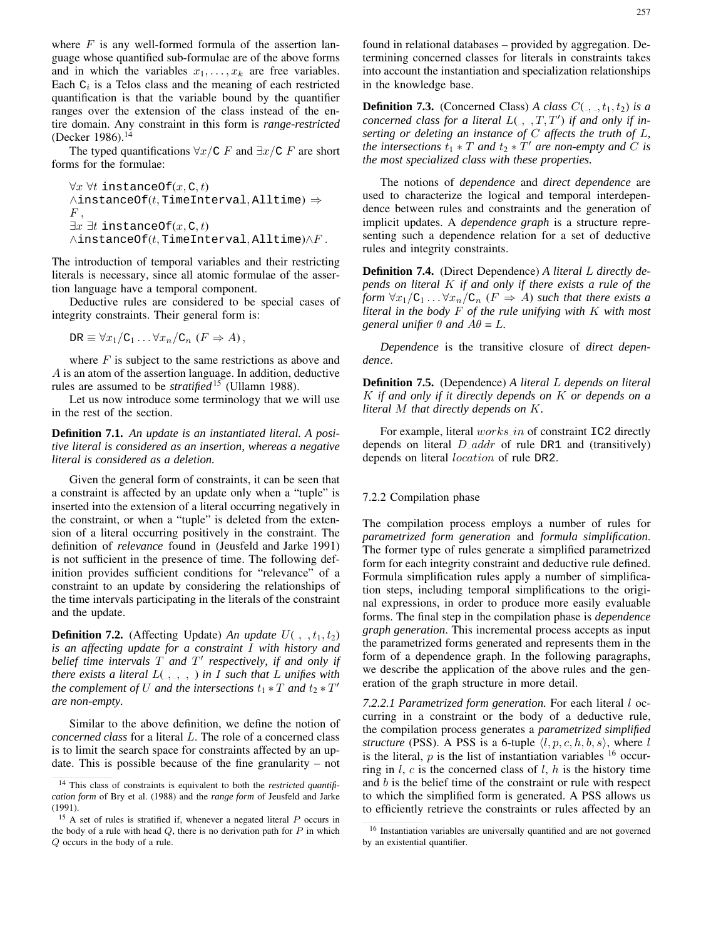where *F* is any well-formed formula of the assertion language whose quantified sub-formulae are of the above forms and in which the variables  $x_1, \ldots, x_k$  are free variables. Each  $C_i$  is a Telos class and the meaning of each restricted quantification is that the variable bound by the quantifier ranges over the extension of the class instead of the entire domain. Any constraint in this form is *range-restricted* (Decker 1986).<sup>14</sup>

The typed quantifications  $\forall x / C$  *F* and  $\exists x / C$  *F* are short forms for the formulae:

```
∀x ∀t instanceOf(x, C, t)
∧instanceOf(t, TimeInterval, Alltime) ⇒
F ,
∃x ∃t instanceOf(x, C, t)
∧instanceOf(t, TimeInterval, Alltime)∧F .
```
The introduction of temporal variables and their restricting literals is necessary, since all atomic formulae of the assertion language have a temporal component.

Deductive rules are considered to be special cases of integrity constraints. Their general form is:

 $DR \equiv \forall x_1 / C_1 \ldots \forall x_n / C_n \ (F \Rightarrow A),$ 

where  $F$  is subject to the same restrictions as above and *A* is an atom of the assertion language. In addition, deductive rules are assumed to be *stratified*<sup>15</sup> (Ullamn 1988).

Let us now introduce some terminology that we will use in the rest of the section.

**Definition 7.1.** *An update is an instantiated literal. A positive literal is considered as an insertion, whereas a negative literal is considered as a deletion.*

Given the general form of constraints, it can be seen that a constraint is affected by an update only when a "tuple" is inserted into the extension of a literal occurring negatively in the constraint, or when a "tuple" is deleted from the extension of a literal occurring positively in the constraint. The definition of *relevance* found in (Jeusfeld and Jarke 1991) is not sufficient in the presence of time. The following definition provides sufficient conditions for "relevance" of a constraint to an update by considering the relationships of the time intervals participating in the literals of the constraint and the update.

**Definition 7.2.** (Affecting Update) An update  $U(\ldots, t_1, t_2)$ *is an affecting update for a constraint I with history and belief time intervals T and T<sup>0</sup> respectively, if and only if there exists a literal*  $L$ ( $, \_ , \_ , \_$ ) *in I such that L unifies with the complement of U and the intersections*  $t_1 * T$  *and*  $t_2 * T'$ *are non-empty.*

Similar to the above definition, we define the notion of *concerned class* for a literal *L*. The role of a concerned class is to limit the search space for constraints affected by an update. This is possible because of the fine granularity – not

found in relational databases – provided by aggregation. Determining concerned classes for literals in constraints takes into account the instantiation and specialization relationships in the knowledge base.

**Definition 7.3.** (Concerned Class) *A class*  $C(\_, \_, t_1, t_2)$  *is a concerned class for a literal*  $L(., ., T, T')$  *if and only if inserting or deleting an instance of C affects the truth of L, the intersections*  $t_1 * T$  *and*  $t_2 * T'$  *are non-empty and C is the most specialized class with these properties.*

The notions of *dependence* and *direct dependence* are used to characterize the logical and temporal interdependence between rules and constraints and the generation of implicit updates. A *dependence graph* is a structure representing such a dependence relation for a set of deductive rules and integrity constraints.

**Definition 7.4.** (Direct Dependence) *A literal L directly depends on literal K if and only if there exists a rule of the form*  $\forall x_1 / C_1 \ldots \forall x_n / C_n$  ( $F \Rightarrow A$ ) *such that there exists a literal in the body F of the rule unifying with K with most general unifier*  $\theta$  *and*  $A\theta = L$ *.* 

*Dependence* is the transitive closure of *direct dependence*.

**Definition 7.5.** (Dependence) *A literal L depends on literal K if and only if it directly depends on K or depends on a literal M that directly depends on K.*

For example, literal *works in* of constraint IC2 directly depends on literal *D addr* of rule DR1 and (transitively) depends on literal *location* of rule DR2.

# 7.2.2 Compilation phase

The compilation process employs a number of rules for *parametrized form generation* and *formula simplification*. The former type of rules generate a simplified parametrized form for each integrity constraint and deductive rule defined. Formula simplification rules apply a number of simplification steps, including temporal simplifications to the original expressions, in order to produce more easily evaluable forms. The final step in the compilation phase is *dependence graph generation*. This incremental process accepts as input the parametrized forms generated and represents them in the form of a dependence graph. In the following paragraphs, we describe the application of the above rules and the generation of the graph structure in more detail.

*7.2.2.1 Parametrized form generation.* For each literal *l* occurring in a constraint or the body of a deductive rule, the compilation process generates a *parametrized simplified structure* (PSS). A PSS is a 6-tuple  $\langle l, p, c, h, b, s \rangle$ , where *l* is the literal,  $p$  is the list of instantiation variables  $16$  occurring in *l*, *c* is the concerned class of *l*, *h* is the history time and *b* is the belief time of the constraint or rule with respect to which the simplified form is generated. A PSS allows us to efficiently retrieve the constraints or rules affected by an

<sup>14</sup> This class of constraints is equivalent to both the *restricted quantification form* of Bry et al. (1988) and the *range form* of Jeusfeld and Jarke (1991).

<sup>15</sup> A set of rules is stratified if, whenever a negated literal *P* occurs in the body of a rule with head *Q*, there is no derivation path for *P* in which *Q* occurs in the body of a rule.

<sup>16</sup> Instantiation variables are universally quantified and are not governed by an existential quantifier.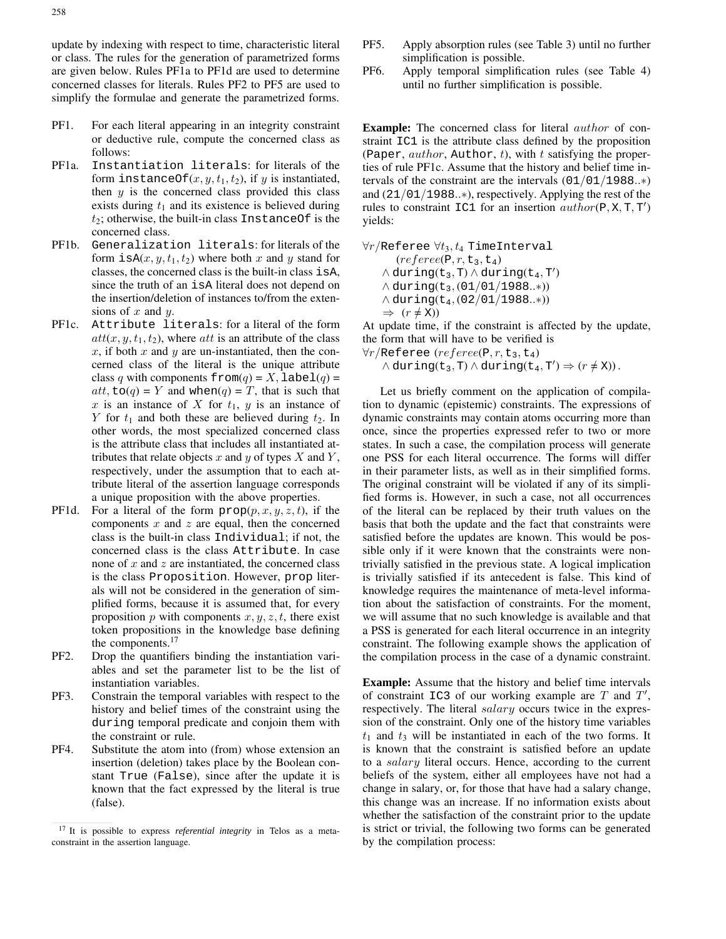update by indexing with respect to time, characteristic literal or class. The rules for the generation of parametrized forms are given below. Rules PF1a to PF1d are used to determine concerned classes for literals. Rules PF2 to PF5 are used to simplify the formulae and generate the parametrized forms.

- PF1. For each literal appearing in an integrity constraint or deductive rule, compute the concerned class as follows:
- PF1a. Instantiation literals: for literals of the form instance  $\text{Of}(x, y, t_1, t_2)$ , if *y* is instantiated, then  $y$  is the concerned class provided this class exists during  $t_1$  and its existence is believed during  $t_2$ ; otherwise, the built-in class Instance Of is the concerned class.
- PF1b. Generalization literals: for literals of the form  $isA(x, y, t_1, t_2)$  where both x and y stand for classes, the concerned class is the built-in class isA, since the truth of an isA literal does not depend on the insertion/deletion of instances to/from the extensions of *x* and *y*.
- PF1c. Attribute literals: for a literal of the form  $att(x, y, t_1, t_2)$ , where *att* is an attribute of the class  $x$ , if both  $x$  and  $y$  are un-instantiated, then the concerned class of the literal is the unique attribute class *q* with components  $from(q) = X$ , label(*q*) =  $att, \text{to}(q) = Y$  and when(*q*) = *T*, that is such that  $x$  is an instance of  $X$  for  $t_1$ ,  $y$  is an instance of *Y* for  $t_1$  and both these are believed during  $t_2$ . In other words, the most specialized concerned class is the attribute class that includes all instantiated attributes that relate objects  $x$  and  $y$  of types  $X$  and  $Y$ , respectively, under the assumption that to each attribute literal of the assertion language corresponds a unique proposition with the above properties.
- PF1d. For a literal of the form  $prop(p, x, y, z, t)$ , if the components *x* and *z* are equal, then the concerned class is the built-in class Individual; if not, the concerned class is the class Attribute. In case none of *x* and *z* are instantiated, the concerned class is the class Proposition. However, prop literals will not be considered in the generation of simplified forms, because it is assumed that, for every proposition  $p$  with components  $x, y, z, t$ , there exist token propositions in the knowledge base defining the components.<sup>17</sup>
- PF2. Drop the quantifiers binding the instantiation variables and set the parameter list to be the list of instantiation variables.
- PF3. Constrain the temporal variables with respect to the history and belief times of the constraint using the during temporal predicate and conjoin them with the constraint or rule.
- PF4. Substitute the atom into (from) whose extension an insertion (deletion) takes place by the Boolean constant True (False), since after the update it is known that the fact expressed by the literal is true (false).
- PF5. Apply absorption rules (see Table 3) until no further simplification is possible.
- PF6. Apply temporal simplification rules (see Table 4) until no further simplification is possible.

**Example:** The concerned class for literal *author* of constraint IC1 is the attribute class defined by the proposition (Paper, *author*, Author, *t*), with *t* satisfying the properties of rule PF1c. Assume that the history and belief time intervals of the constraint are the intervals (01*/*01*/*1988*..∗*) and (21*/*01*/*1988*..∗*), respectively. Applying the rest of the rules to constraint IC1 for an insertion  $author(P, X, T, T')$ yields:

*∀r/*Referee *∀t*3*, t*<sup>4</sup> TimeInterval  $(reference(P, r, t_3, t_4))$ *∧* during(t3*,* T) *∧* during(t4*,* T*<sup>0</sup>* ) *∧* during(t3*,* (01*/*01*/*1988*..∗*)) *∧* during(t4*,* (02*/*01*/*1988*..∗*))  $\Rightarrow$   $(r \neq X)$ 

At update time, if the constraint is affected by the update, the form that will have to be verified is

*∀r/*Referee (*referee*(P*, r,* t3*,* t4)  $\land$  during(t<sub>3</sub>, T)  $\land$  during(t<sub>4</sub>, T')  $\Rightarrow$  ( $r \neq$  X)).

Let us briefly comment on the application of compilation to dynamic (epistemic) constraints. The expressions of dynamic constraints may contain atoms occurring more than once, since the properties expressed refer to two or more states. In such a case, the compilation process will generate one PSS for each literal occurrence. The forms will differ in their parameter lists, as well as in their simplified forms. The original constraint will be violated if any of its simplified forms is. However, in such a case, not all occurrences of the literal can be replaced by their truth values on the basis that both the update and the fact that constraints were satisfied before the updates are known. This would be possible only if it were known that the constraints were nontrivially satisfied in the previous state. A logical implication is trivially satisfied if its antecedent is false. This kind of knowledge requires the maintenance of meta-level information about the satisfaction of constraints. For the moment, we will assume that no such knowledge is available and that a PSS is generated for each literal occurrence in an integrity constraint. The following example shows the application of the compilation process in the case of a dynamic constraint.

**Example:** Assume that the history and belief time intervals of constraint  $IC3$  of our working example are  $T$  and  $T'$ , respectively. The literal *salary* occurs twice in the expression of the constraint. Only one of the history time variables  $t_1$  and  $t_3$  will be instantiated in each of the two forms. It is known that the constraint is satisfied before an update to a *salary* literal occurs. Hence, according to the current beliefs of the system, either all employees have not had a change in salary, or, for those that have had a salary change, this change was an increase. If no information exists about whether the satisfaction of the constraint prior to the update is strict or trivial, the following two forms can be generated by the compilation process:

<sup>&</sup>lt;sup>17</sup> It is possible to express *referential integrity* in Telos as a metaconstraint in the assertion language.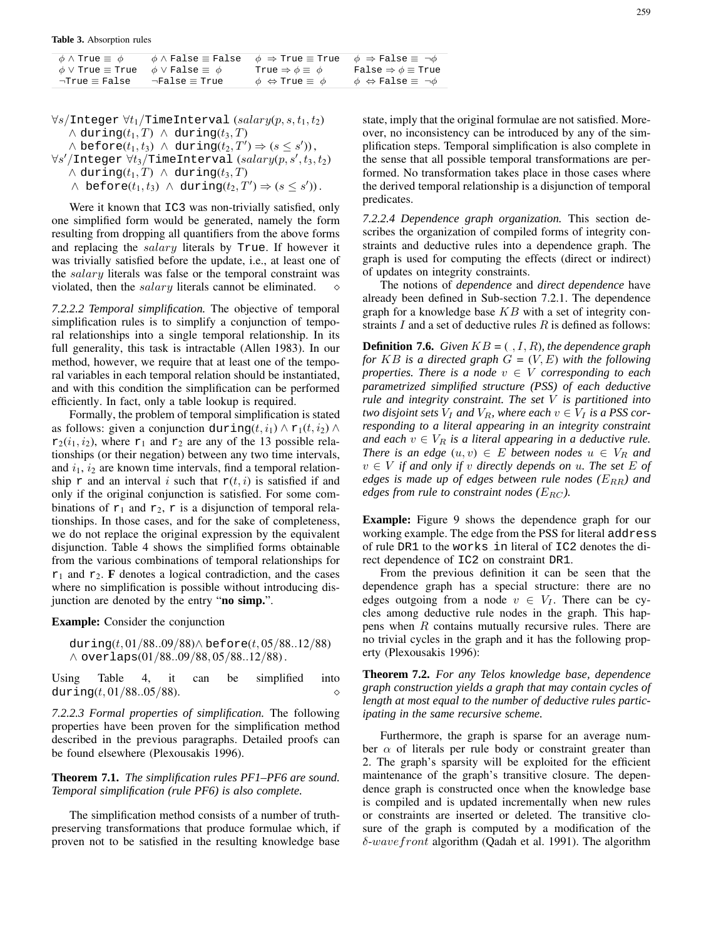| $\phi \wedge \text{True} \equiv \phi$                          | $\phi \wedge$ False $\equiv$ False $\phi \Rightarrow$ True $\equiv$ True $\phi \Rightarrow$ False $\equiv \neg \phi$ |                                           |                                                 |
|----------------------------------------------------------------|----------------------------------------------------------------------------------------------------------------------|-------------------------------------------|-------------------------------------------------|
| $\phi \vee$ True $\equiv$ True $\phi \vee$ False $\equiv \phi$ |                                                                                                                      | True $\Rightarrow \phi \equiv \phi$       | False $\Rightarrow \phi \equiv$ True            |
| $\neg \texttt{True} \equiv \texttt{False}$                     | $\neg$ False $\equiv$ True                                                                                           | $\phi \Leftrightarrow$ True $\equiv \phi$ | $\phi \Leftrightarrow$ False $\equiv \neg \phi$ |

*∀s/*Integer *∀t*1*/*TimeInterval (*salary*(*p, s, t*1*, t*2)  $∧$  during( $t_1, T$ ) ∧ during( $t_3, T$ )

 $\land$  before( $t_1, t_3$ )  $\land$  during( $t_2, T'$ )  $\Rightarrow$  ( $s \leq s'$ )),

$$
\forall s'/\text{Integer } \forall t_3/\text{TimeInterval } (salary(p, s', t_3, t_2))
$$

 $∧$  during( $t_1, T$ ) ∧ during( $t_3, T$ )

 $∧$  before( $t_1, t_3$ ) ∧ during( $t_2, T'$ )  $\Rightarrow$  ( $s \leq s'$ )).

Were it known that  $IC3$  was non-trivially satisfied, only one simplified form would be generated, namely the form resulting from dropping all quantifiers from the above forms and replacing the *salary* literals by True. If however it was trivially satisfied before the update, i.e., at least one of the *salary* literals was false or the temporal constraint was violated, then the *salary* literals cannot be eliminated.

*7.2.2.2 Temporal simplification.* The objective of temporal simplification rules is to simplify a conjunction of temporal relationships into a single temporal relationship. In its full generality, this task is intractable (Allen 1983). In our method, however, we require that at least one of the temporal variables in each temporal relation should be instantiated, and with this condition the simplification can be performed efficiently. In fact, only a table lookup is required.

Formally, the problem of temporal simplification is stated as follows: given a conjunction during( $t$ ,  $i_1$ )  $\wedge$   $\mathbf{r}_1(t, i_2)$   $\wedge$  $r_2(i_1, i_2)$ , where  $r_1$  and  $r_2$  are any of the 13 possible relationships (or their negation) between any two time intervals, and  $i_1$ ,  $i_2$  are known time intervals, find a temporal relationship  $r$  and an interval *i* such that  $r(t, i)$  is satisfied if and only if the original conjunction is satisfied. For some combinations of  $r_1$  and  $r_2$ , r is a disjunction of temporal relationships. In those cases, and for the sake of completeness, we do not replace the original expression by the equivalent disjunction. Table 4 shows the simplified forms obtainable from the various combinations of temporal relationships for  $r_1$  and  $r_2$ . **F** denotes a logical contradiction, and the cases where no simplification is possible without introducing disjunction are denoted by the entry "**no simp.**".

**Example:** Consider the conjunction

during(*t,* 01*/*88*..*09*/*88)*∧* before(*t,* 05*/*88*..*12*/*88) *∧* overlaps(01*/*88*..*09*/*88*,* 05*/*88*..*12*/*88) .

Using Table 4, it can be simplified into during $(t, 01/88..05/88)$ .

*7.2.2.3 Formal properties of simplification.* The following properties have been proven for the simplification method described in the previous paragraphs. Detailed proofs can be found elsewhere (Plexousakis 1996).

**Theorem 7.1.** *The simplification rules PF1–PF6 are sound. Temporal simplification (rule PF6) is also complete.*

The simplification method consists of a number of truthpreserving transformations that produce formulae which, if proven not to be satisfied in the resulting knowledge base

state, imply that the original formulae are not satisfied. Moreover, no inconsistency can be introduced by any of the simplification steps. Temporal simplification is also complete in the sense that all possible temporal transformations are performed. No transformation takes place in those cases where the derived temporal relationship is a disjunction of temporal predicates.

*7.2.2.4 Dependence graph organization.* This section describes the organization of compiled forms of integrity constraints and deductive rules into a dependence graph. The graph is used for computing the effects (direct or indirect) of updates on integrity constraints.

The notions of *dependence* and *direct dependence* have already been defined in Sub-section 7.2.1. The dependence graph for a knowledge base *KB* with a set of integrity constraints *I* and a set of deductive rules *R* is defined as follows:

**Definition 7.6.** *Given*  $KB = (0, I, R)$ *, the dependence graph for*  $KB$  *is a directed graph*  $G = (V, E)$  *with the following properties. There is a node*  $v \in V$  *corresponding to each parametrized simplified structure (PSS) of each deductive rule and integrity constraint. The set V is partitioned into two disjoint sets*  $V_I$  *and*  $V_R$ *, where each*  $v \in V_I$  *is a PSS corresponding to a literal appearing in an integrity constraint and each*  $v \in V_R$  *is a literal appearing in a deductive rule. There is an edge*  $(u, v) \in E$  *between nodes*  $u \in V_R$  *and v ∈ V if and only if v directly depends on u. The set E of edges is made up of edges between rule nodes (ERR) and edges from rule to constraint nodes (ERC ).*

**Example:** Figure 9 shows the dependence graph for our working example. The edge from the PSS for literal address of rule DR1 to the works in literal of IC2 denotes the direct dependence of IC2 on constraint DR1.

From the previous definition it can be seen that the dependence graph has a special structure: there are no edges outgoing from a node  $v \in V_I$ . There can be cycles among deductive rule nodes in the graph. This happens when *R* contains mutually recursive rules. There are no trivial cycles in the graph and it has the following property (Plexousakis 1996):

**Theorem 7.2.** *For any Telos knowledge base, dependence graph construction yields a graph that may contain cycles of length at most equal to the number of deductive rules participating in the same recursive scheme.*

Furthermore, the graph is sparse for an average number *α* of literals per rule body or constraint greater than 2. The graph's sparsity will be exploited for the efficient maintenance of the graph's transitive closure. The dependence graph is constructed once when the knowledge base is compiled and is updated incrementally when new rules or constraints are inserted or deleted. The transitive closure of the graph is computed by a modification of the *δ*-*wavefront* algorithm (Qadah et al. 1991). The algorithm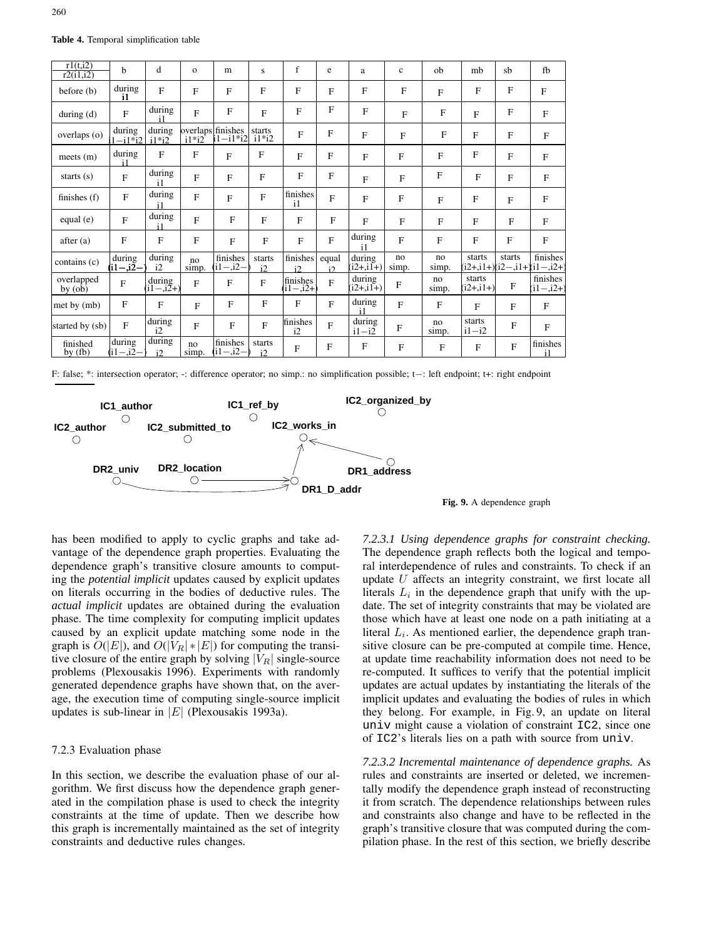| <b>Table 4.</b> Temporal simplification table |  |
|-----------------------------------------------|--|
|-----------------------------------------------|--|

| r1(t,i2)<br>r2(i1,i2)    | h                       | d                                                                               | $\Omega$                      | m                        | S                 | $\mathbf f$              | e                     | a                      | $\mathbf{c}$              | ob           | mb                     | sb           | fb                                      |
|--------------------------|-------------------------|---------------------------------------------------------------------------------|-------------------------------|--------------------------|-------------------|--------------------------|-----------------------|------------------------|---------------------------|--------------|------------------------|--------------|-----------------------------------------|
| before (b)               | during<br>i1            | F                                                                               | F                             | F                        | F                 | F                        | F                     | $\mathbf{F}$           | F                         | F            | $\mathbf F$            | F            | F                                       |
| during $(d)$             | F                       | during<br>$\mathbf{i}$                                                          | $\mathbf{F}$                  | F                        | $\mathbf{F}$      | F                        | F                     | F                      | $\mathbf{F}$              | F            | $\mathbf{F}$           | $\mathbf{F}$ | $\mathbf F$                             |
| overlaps (o)             | during<br>$1 - i1 * i2$ | during<br>$i1*i2$                                                               | overlaps finishes<br>$i1* i2$ | $i1 - i1 * i2$           | starts<br>$i1*i2$ | F                        | $\mathbf F$           | F                      | F                         | F            | F                      | F            | F                                       |
| $meets$ (m)              | during<br>$\mathbf{i}$  | F                                                                               | F                             | F                        | $_{\rm F}$        | F                        | $\mathbf F$           | F                      | F                         | F            | $\mathbf F$            | F            | F                                       |
| starts $(s)$             | F                       | during<br>$\mathbf{i}$                                                          | F                             | F                        | F                 | F                        | F                     | F                      | $\boldsymbol{\mathrm{F}}$ | $\mathbf{F}$ | F                      | F            | $\mathbf F$                             |
| finishes $(f)$           | F                       | during<br>$\mathbf{i}$ 1                                                        | F                             | F                        | F                 | finishes<br>$\mathbf{i}$ | F                     | F                      | F                         | F            | F                      | F            | F                                       |
| equal (e)                | F                       | during<br>$\mathbf{i}$ 1                                                        | F                             | $\mathbf{F}$             | F                 | F                        | F                     | F                      | F                         | F            | F                      | F            | F                                       |
| after (a)                | F                       | F                                                                               | F                             | $\mathbf{F}$             | F                 | $\mathbf F$              | F                     | during<br>$\mathbf{i}$ | F                         | F            | F                      | $\mathbf{F}$ | F                                       |
| contains (c)             | during<br>(i1—,i2—      | during<br>i2                                                                    | no<br>simp.                   | finishes<br>$(i1 - i2 -$ | starts<br>i2      | finishes<br>i2           | equal<br>$\mathbf{i}$ | during<br>$(i2+, i1+)$ | no<br>simp.               | no<br>simp.  | starts                 | starts       | finishes<br>(i2+,i1+)(i2−,i1+)(i1−,i2+) |
| overlapped<br>by $(obj)$ | $\overline{F}$          | $\begin{array}{c} \text{during} \\ \text{11} - \text{,} \text{12+} \end{array}$ | $\mathbf{F}$                  | F                        | F                 | finishes<br>$(i1 - i2+)$ | F                     | during<br>$(i2+, i1+)$ | $\mathbf F$               | no<br>simp.  | starts<br>$(i2+, i1+)$ | F            | finishes<br>$(i1 - i2+)$                |
| met by (mb)              | $\mathbf F$             | $\mathbf{F}$                                                                    | F                             | F                        | F                 | F                        | F                     | during<br>$\mathbf{i}$ | F                         | F            | F                      | F            | $\mathbf F$                             |
| started by (sb)          | F                       | during<br>i2                                                                    | F                             | $\mathbf{F}$             | F                 | finishes<br>i2           | F                     | during<br>$i1-i2$      | $\mathbf{F}$              | no<br>simp.  | starts<br>$i1 - i2$    | F            | F                                       |
| finished<br>by $(fb)$    | during<br>$(i1 - i2 -$  | during<br>i2                                                                    | no<br>simp.                   | finishes<br>$(i1 - i2 -$ | starts<br>i2      | F                        | $\mathbf{F}$          | F                      | F                         | F            | $\mathbf F$            | F            | finishes<br>$\mathbf{i}$ 1              |

F: false; \*: intersection operator; -: difference operator; no simp.: no simplification possible; t*−*: left endpoint; t+: right endpoint



**Fig. 9.** A dependence graph

has been modified to apply to cyclic graphs and take advantage of the dependence graph properties. Evaluating the dependence graph's transitive closure amounts to computing the *potential implicit* updates caused by explicit updates on literals occurring in the bodies of deductive rules. The *actual implicit* updates are obtained during the evaluation phase. The time complexity for computing implicit updates caused by an explicit update matching some node in the graph is  $O(|E|)$ , and  $O(|V_R| * |E|)$  for computing the transitive closure of the entire graph by solving  $|V_R|$  single-source problems (Plexousakis 1996). Experiments with randomly generated dependence graphs have shown that, on the average, the execution time of computing single-source implicit updates is sub-linear in *|E|* (Plexousakis 1993a).

#### 7.2.3 Evaluation phase

In this section, we describe the evaluation phase of our algorithm. We first discuss how the dependence graph generated in the compilation phase is used to check the integrity constraints at the time of update. Then we describe how this graph is incrementally maintained as the set of integrity constraints and deductive rules changes.

*7.2.3.1 Using dependence graphs for constraint checking.* The dependence graph reflects both the logical and temporal interdependence of rules and constraints. To check if an update *U* affects an integrity constraint, we first locate all literals  $L_i$  in the dependence graph that unify with the update. The set of integrity constraints that may be violated are those which have at least one node on a path initiating at a literal  $L_i$ . As mentioned earlier, the dependence graph transitive closure can be pre-computed at compile time. Hence, at update time reachability information does not need to be re-computed. It suffices to verify that the potential implicit updates are actual updates by instantiating the literals of the implicit updates and evaluating the bodies of rules in which they belong. For example, in Fig. 9, an update on literal univ might cause a violation of constraint IC2, since one of IC2's literals lies on a path with source from univ.

*7.2.3.2 Incremental maintenance of dependence graphs.* As rules and constraints are inserted or deleted, we incrementally modify the dependence graph instead of reconstructing it from scratch. The dependence relationships between rules and constraints also change and have to be reflected in the graph's transitive closure that was computed during the compilation phase. In the rest of this section, we briefly describe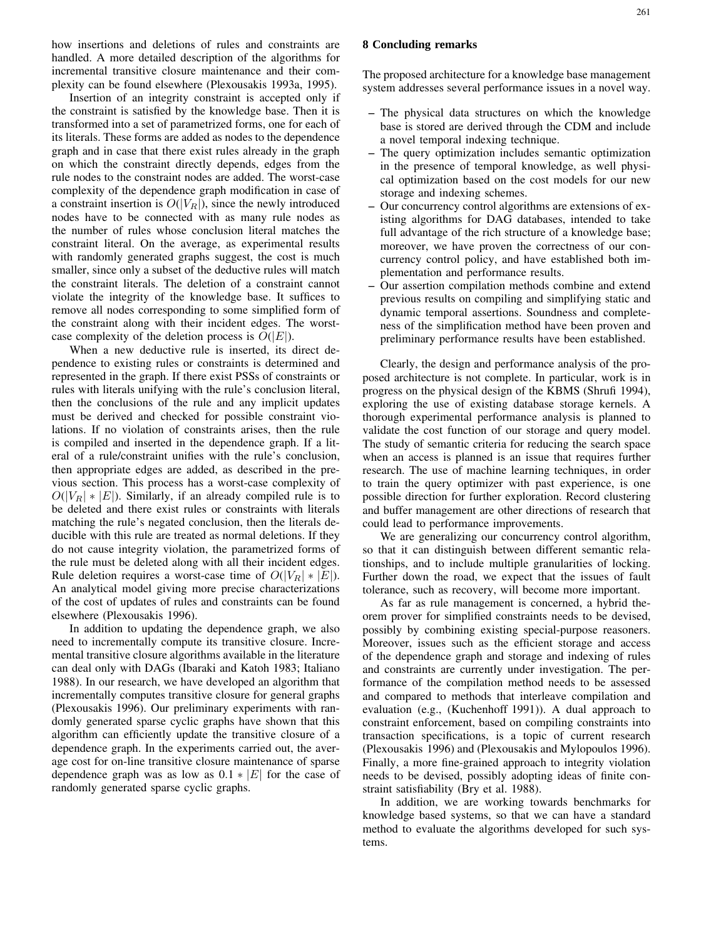how insertions and deletions of rules and constraints are handled. A more detailed description of the algorithms for incremental transitive closure maintenance and their complexity can be found elsewhere (Plexousakis 1993a, 1995).

Insertion of an integrity constraint is accepted only if the constraint is satisfied by the knowledge base. Then it is transformed into a set of parametrized forms, one for each of its literals. These forms are added as nodes to the dependence graph and in case that there exist rules already in the graph on which the constraint directly depends, edges from the rule nodes to the constraint nodes are added. The worst-case complexity of the dependence graph modification in case of a constraint insertion is  $O(|V_R|)$ , since the newly introduced nodes have to be connected with as many rule nodes as the number of rules whose conclusion literal matches the constraint literal. On the average, as experimental results with randomly generated graphs suggest, the cost is much smaller, since only a subset of the deductive rules will match the constraint literals. The deletion of a constraint cannot violate the integrity of the knowledge base. It suffices to remove all nodes corresponding to some simplified form of the constraint along with their incident edges. The worstcase complexity of the deletion process is  $O(|E|)$ .

When a new deductive rule is inserted, its direct dependence to existing rules or constraints is determined and represented in the graph. If there exist PSSs of constraints or rules with literals unifying with the rule's conclusion literal, then the conclusions of the rule and any implicit updates must be derived and checked for possible constraint violations. If no violation of constraints arises, then the rule is compiled and inserted in the dependence graph. If a literal of a rule/constraint unifies with the rule's conclusion, then appropriate edges are added, as described in the previous section. This process has a worst-case complexity of  $O(|V_R| * |E|)$ . Similarly, if an already compiled rule is to be deleted and there exist rules or constraints with literals matching the rule's negated conclusion, then the literals deducible with this rule are treated as normal deletions. If they do not cause integrity violation, the parametrized forms of the rule must be deleted along with all their incident edges. Rule deletion requires a worst-case time of  $O(|V_R| * |E|)$ . An analytical model giving more precise characterizations of the cost of updates of rules and constraints can be found elsewhere (Plexousakis 1996).

In addition to updating the dependence graph, we also need to incrementally compute its transitive closure. Incremental transitive closure algorithms available in the literature can deal only with DAGs (Ibaraki and Katoh 1983; Italiano 1988). In our research, we have developed an algorithm that incrementally computes transitive closure for general graphs (Plexousakis 1996). Our preliminary experiments with randomly generated sparse cyclic graphs have shown that this algorithm can efficiently update the transitive closure of a dependence graph. In the experiments carried out, the average cost for on-line transitive closure maintenance of sparse dependence graph was as low as  $0.1 * |E|$  for the case of randomly generated sparse cyclic graphs.

The proposed architecture for a knowledge base management system addresses several performance issues in a novel way.

**8 Concluding remarks**

- **–** The physical data structures on which the knowledge base is stored are derived through the CDM and include a novel temporal indexing technique.
- **–** The query optimization includes semantic optimization in the presence of temporal knowledge, as well physical optimization based on the cost models for our new storage and indexing schemes.
- **–** Our concurrency control algorithms are extensions of existing algorithms for DAG databases, intended to take full advantage of the rich structure of a knowledge base; moreover, we have proven the correctness of our concurrency control policy, and have established both implementation and performance results.
- **–** Our assertion compilation methods combine and extend previous results on compiling and simplifying static and dynamic temporal assertions. Soundness and completeness of the simplification method have been proven and preliminary performance results have been established.

Clearly, the design and performance analysis of the proposed architecture is not complete. In particular, work is in progress on the physical design of the KBMS (Shrufi 1994), exploring the use of existing database storage kernels. A thorough experimental performance analysis is planned to validate the cost function of our storage and query model. The study of semantic criteria for reducing the search space when an access is planned is an issue that requires further research. The use of machine learning techniques, in order to train the query optimizer with past experience, is one possible direction for further exploration. Record clustering and buffer management are other directions of research that could lead to performance improvements.

We are generalizing our concurrency control algorithm, so that it can distinguish between different semantic relationships, and to include multiple granularities of locking. Further down the road, we expect that the issues of fault tolerance, such as recovery, will become more important.

As far as rule management is concerned, a hybrid theorem prover for simplified constraints needs to be devised, possibly by combining existing special-purpose reasoners. Moreover, issues such as the efficient storage and access of the dependence graph and storage and indexing of rules and constraints are currently under investigation. The performance of the compilation method needs to be assessed and compared to methods that interleave compilation and evaluation (e.g., (Kuchenhoff 1991)). A dual approach to constraint enforcement, based on compiling constraints into transaction specifications, is a topic of current research (Plexousakis 1996) and (Plexousakis and Mylopoulos 1996). Finally, a more fine-grained approach to integrity violation needs to be devised, possibly adopting ideas of finite constraint satisfiability (Bry et al. 1988).

In addition, we are working towards benchmarks for knowledge based systems, so that we can have a standard method to evaluate the algorithms developed for such systems.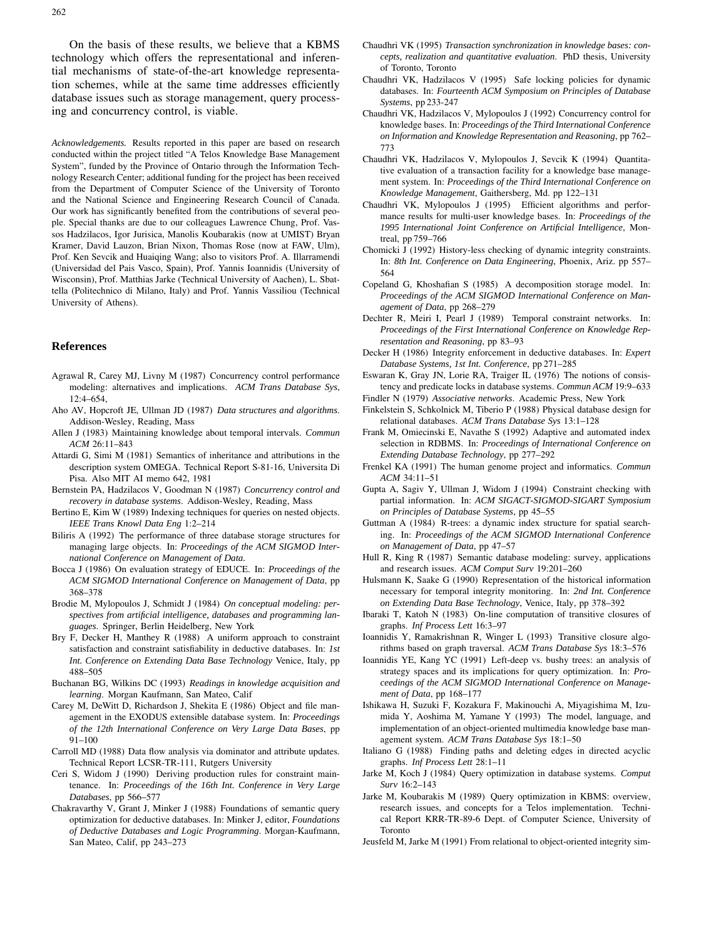On the basis of these results, we believe that a KBMS technology which offers the representational and inferential mechanisms of state-of-the-art knowledge representation schemes, while at the same time addresses efficiently database issues such as storage management, query processing and concurrency control, is viable.

*Acknowledgements.* Results reported in this paper are based on research conducted within the project titled "A Telos Knowledge Base Management System", funded by the Province of Ontario through the Information Technology Research Center; additional funding for the project has been received from the Department of Computer Science of the University of Toronto and the National Science and Engineering Research Council of Canada. Our work has significantly benefited from the contributions of several people. Special thanks are due to our colleagues Lawrence Chung, Prof. Vassos Hadzilacos, Igor Jurisica, Manolis Koubarakis (now at UMIST) Bryan Kramer, David Lauzon, Brian Nixon, Thomas Rose (now at FAW, Ulm), Prof. Ken Sevcik and Huaiqing Wang; also to visitors Prof. A. Illarramendi (Universidad del Pais Vasco, Spain), Prof. Yannis Ioannidis (University of Wisconsin), Prof. Matthias Jarke (Technical University of Aachen), L. Sbattella (Politechnico di Milano, Italy) and Prof. Yannis Vassiliou (Technical University of Athens).

#### **References**

- Agrawal R, Carey MJ, Livny M (1987) Concurrency control performance modeling: alternatives and implications. *ACM Trans Database Sys*, 12:4–654,
- Aho AV, Hopcroft JE, Ullman JD (1987) *Data structures and algorithms*. Addison-Wesley, Reading, Mass
- Allen J (1983) Maintaining knowledge about temporal intervals. *Commun ACM* 26:11–843
- Attardi G, Simi M (1981) Semantics of inheritance and attributions in the description system OMEGA. Technical Report S-81-16, Universita Di Pisa. Also MIT AI memo 642, 1981
- Bernstein PA, Hadzilacos V, Goodman N (1987) *Concurrency control and recovery in database systems*. Addison-Wesley, Reading, Mass
- Bertino E, Kim W (1989) Indexing techniques for queries on nested objects. *IEEE Trans Knowl Data Eng* 1:2–214
- Biliris A (1992) The performance of three database storage structures for managing large objects. In: *Proceedings of the ACM SIGMOD International Conference on Management of Data.*
- Bocca J (1986) On evaluation strategy of EDUCE. In: *Proceedings of the ACM SIGMOD International Conference on Management of Data*, pp 368–378
- Brodie M, Mylopoulos J, Schmidt J (1984) *On conceptual modeling: perspectives from artificial intelligence, databases and programming languages*. Springer, Berlin Heidelberg, New York
- Bry F, Decker H, Manthey R (1988) A uniform approach to constraint satisfaction and constraint satisfiability in deductive databases. In: *1st Int. Conference on Extending Data Base Technology* Venice, Italy, pp 488–505
- Buchanan BG, Wilkins DC (1993) *Readings in knowledge acquisition and learning*. Morgan Kaufmann, San Mateo, Calif
- Carey M, DeWitt D, Richardson J, Shekita E (1986) Object and file management in the EXODUS extensible database system. In: *Proceedings of the 12th International Conference on Very Large Data Bases*, pp 91–100
- Carroll MD (1988) Data flow analysis via dominator and attribute updates. Technical Report LCSR-TR-111, Rutgers University
- Ceri S, Widom J (1990) Deriving production rules for constraint maintenance. In: *Proceedings of the 16th Int. Conference in Very Large Databases*, pp 566–577
- Chakravarthy V, Grant J, Minker J (1988) Foundations of semantic query optimization for deductive databases. In: Minker J, editor, *Foundations of Deductive Databases and Logic Programming*. Morgan-Kaufmann, San Mateo, Calif, pp 243–273
- Chaudhri VK (1995) *Transaction synchronization in knowledge bases: concepts, realization and quantitative evaluation*. PhD thesis, University of Toronto, Toronto
- Chaudhri VK, Hadzilacos V (1995) Safe locking policies for dynamic databases. In: *Fourteenth ACM Symposium on Principles of Database Systems*, pp 233-247
- Chaudhri VK, Hadzilacos V, Mylopoulos J (1992) Concurrency control for knowledge bases. In: *Proceedings of the Third International Conference on Information and Knowledge Representation and Reasoning*, pp 762– 773
- Chaudhri VK, Hadzilacos V, Mylopoulos J, Sevcik K (1994) Quantitative evaluation of a transaction facility for a knowledge base management system. In: *Proceedings of the Third International Conference on Knowledge Management*, Gaithersberg, Md. pp 122–131
- Chaudhri VK, Mylopoulos J (1995) Efficient algorithms and performance results for multi-user knowledge bases. In: *Proceedings of the 1995 International Joint Conference on Artificial Intelligence*, Montreal, pp 759–766
- Chomicki J (1992) History-less checking of dynamic integrity constraints. In: *8th Int. Conference on Data Engineering*, Phoenix, Ariz. pp 557– 564
- Copeland G, Khoshafian S (1985) A decomposition storage model. In: *Proceedings of the ACM SIGMOD International Conference on Management of Data*, pp 268–279
- Dechter R, Meiri I, Pearl J (1989) Temporal constraint networks. In: *Proceedings of the First International Conference on Knowledge Representation and Reasoning*, pp 83–93
- Decker H (1986) Integrity enforcement in deductive databases. In: *Expert Database Systems, 1st Int. Conference*, pp 271–285
- Eswaran K, Gray JN, Lorie RA, Traiger IL (1976) The notions of consistency and predicate locks in database systems. *Commun ACM* 19:9–633 Findler N (1979) *Associative networks*. Academic Press, New York
- 
- Finkelstein S, Schkolnick M, Tiberio P (1988) Physical database design for relational databases. *ACM Trans Database Sys* 13:1–128
- Frank M, Omiecinski E, Navathe S (1992) Adaptive and automated index selection in RDBMS. In: *Proceedings of International Conference on Extending Database Technology*, pp 277–292
- Frenkel KA (1991) The human genome project and informatics. *Commun ACM* 34:11–51
- Gupta A, Sagiv Y, Ullman J, Widom J (1994) Constraint checking with partial information. In: *ACM SIGACT-SIGMOD-SIGART Symposium on Principles of Database Systems*, pp 45–55
- Guttman A (1984) R-trees: a dynamic index structure for spatial searching. In: *Proceedings of the ACM SIGMOD International Conference on Management of Data*, pp 47–57
- Hull R, King R (1987) Semantic database modeling: survey, applications and research issues. *ACM Comput Surv* 19:201–260
- Hulsmann K, Saake G (1990) Representation of the historical information necessary for temporal integrity monitoring. In: *2nd Int. Conference on Extending Data Base Technology*, Venice, Italy, pp 378–392
- Ibaraki T, Katoh N (1983) On-line computation of transitive closures of graphs. *Inf Process Lett* 16:3–97
- Ioannidis Y, Ramakrishnan R, Winger L (1993) Transitive closure algorithms based on graph traversal. *ACM Trans Database Sys* 18:3–576
- Ioannidis YE, Kang YC (1991) Left-deep vs. bushy trees: an analysis of strategy spaces and its implications for query optimization. In: *Proceedings of the ACM SIGMOD International Conference on Management of Data*, pp 168–177
- Ishikawa H, Suzuki F, Kozakura F, Makinouchi A, Miyagishima M, Izumida Y, Aoshima M, Yamane Y (1993) The model, language, and implementation of an object-oriented multimedia knowledge base management system. *ACM Trans Database Sys* 18:1–50
- Italiano G (1988) Finding paths and deleting edges in directed acyclic graphs. *Inf Process Lett* 28:1–11
- Jarke M, Koch J (1984) Query optimization in database systems. *Comput Surv* 16:2–143
- Jarke M, Koubarakis M (1989) Query optimization in KBMS: overview, research issues, and concepts for a Telos implementation. Technical Report KRR-TR-89-6 Dept. of Computer Science, University of Toronto
- Jeusfeld M, Jarke M (1991) From relational to object-oriented integrity sim-